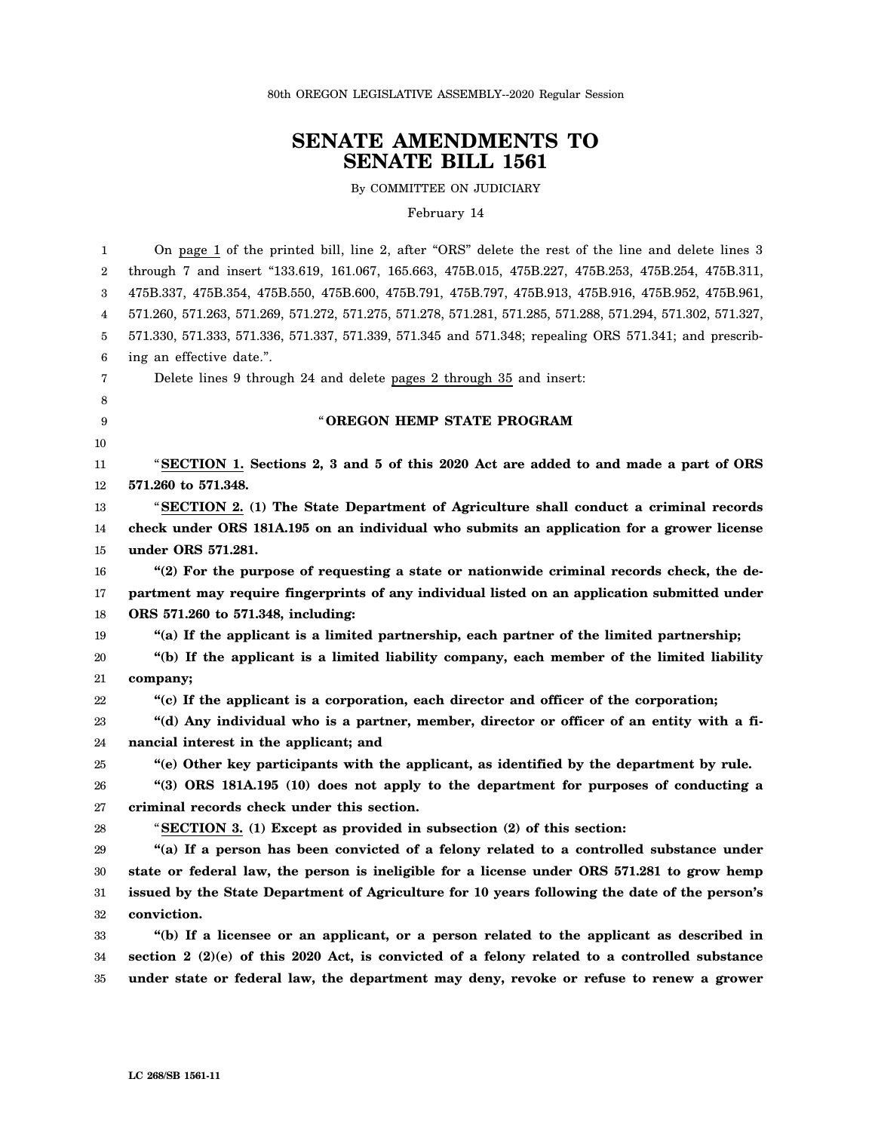80th OREGON LEGISLATIVE ASSEMBLY--2020 Regular Session

# **SENATE AMENDMENTS TO SENATE BILL 1561**

By COMMITTEE ON JUDICIARY

#### February 14

1 2 3 4 5 6 7 8 9 10 11 12 13 14 15 16 17 18 19 20 21 22 23 24 25 26 27 28 29 30 31 32 33 34 35 On page 1 of the printed bill, line 2, after "ORS" delete the rest of the line and delete lines 3 through 7 and insert "133.619, 161.067, 165.663, 475B.015, 475B.227, 475B.253, 475B.254, 475B.311, 475B.337, 475B.354, 475B.550, 475B.600, 475B.791, 475B.797, 475B.913, 475B.916, 475B.952, 475B.961, 571.260, 571.263, 571.269, 571.272, 571.275, 571.278, 571.281, 571.285, 571.288, 571.294, 571.302, 571.327, 571.330, 571.333, 571.336, 571.337, 571.339, 571.345 and 571.348; repealing ORS 571.341; and prescribing an effective date.". Delete lines 9 through 24 and delete pages 2 through 35 and insert: " **OREGON HEMP STATE PROGRAM** "**SECTION 1. Sections 2, 3 and 5 of this 2020 Act are added to and made a part of ORS 571.260 to 571.348.** "**SECTION 2. (1) The State Department of Agriculture shall conduct a criminal records check under ORS 181A.195 on an individual who submits an application for a grower license under ORS 571.281. "(2) For the purpose of requesting a state or nationwide criminal records check, the department may require fingerprints of any individual listed on an application submitted under ORS 571.260 to 571.348, including: "(a) If the applicant is a limited partnership, each partner of the limited partnership; "(b) If the applicant is a limited liability company, each member of the limited liability company; "(c) If the applicant is a corporation, each director and officer of the corporation; "(d) Any individual who is a partner, member, director or officer of an entity with a financial interest in the applicant; and "(e) Other key participants with the applicant, as identified by the department by rule. "(3) ORS 181A.195 (10) does not apply to the department for purposes of conducting a criminal records check under this section.** "**SECTION 3. (1) Except as provided in subsection (2) of this section: "(a) If a person has been convicted of a felony related to a controlled substance under state or federal law, the person is ineligible for a license under ORS 571.281 to grow hemp issued by the State Department of Agriculture for 10 years following the date of the person's conviction. "(b) If a licensee or an applicant, or a person related to the applicant as described in section 2 (2)(e) of this 2020 Act, is convicted of a felony related to a controlled substance under state or federal law, the department may deny, revoke or refuse to renew a grower**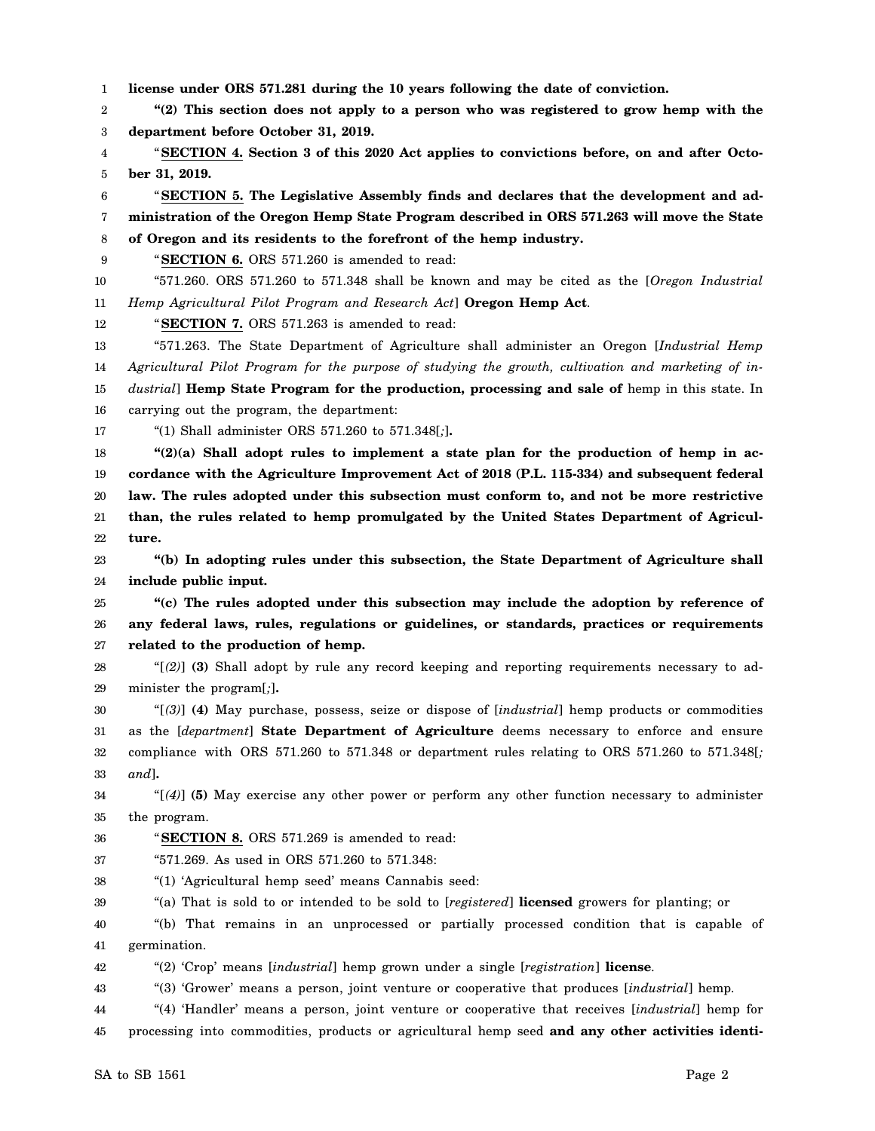1 **license under ORS 571.281 during the 10 years following the date of conviction.**

2 3 **"(2) This section does not apply to a person who was registered to grow hemp with the department before October 31, 2019.**

4 5 "**SECTION 4. Section 3 of this 2020 Act applies to convictions before, on and after October 31, 2019.**

6 7 8 "**SECTION 5. The Legislative Assembly finds and declares that the development and administration of the Oregon Hemp State Program described in ORS 571.263 will move the State of Oregon and its residents to the forefront of the hemp industry.**

9

"**SECTION 6.** ORS 571.260 is amended to read:

10 11 "571.260. ORS 571.260 to 571.348 shall be known and may be cited as the [*Oregon Industrial Hemp Agricultural Pilot Program and Research Act*] **Oregon Hemp Act**.

12 "**SECTION 7.** ORS 571.263 is amended to read:

13 14 15 16 "571.263. The State Department of Agriculture shall administer an Oregon [*Industrial Hemp Agricultural Pilot Program for the purpose of studying the growth, cultivation and marketing of industrial*] **Hemp State Program for the production, processing and sale of** hemp in this state. In carrying out the program, the department:

17 "(1) Shall administer ORS 571.260 to 571.348[*;*]**.**

18 19 20 21 22 **"(2)(a) Shall adopt rules to implement a state plan for the production of hemp in accordance with the Agriculture Improvement Act of 2018 (P.L. 115-334) and subsequent federal law. The rules adopted under this subsection must conform to, and not be more restrictive than, the rules related to hemp promulgated by the United States Department of Agriculture.**

23 24 **"(b) In adopting rules under this subsection, the State Department of Agriculture shall include public input.**

25 26 27 **"(c) The rules adopted under this subsection may include the adoption by reference of any federal laws, rules, regulations or guidelines, or standards, practices or requirements related to the production of hemp.**

28 29 "[*(2)*] **(3)** Shall adopt by rule any record keeping and reporting requirements necessary to administer the program[*;*]**.**

30 31 32 33 "[*(3)*] **(4)** May purchase, possess, seize or dispose of [*industrial*] hemp products or commodities as the [*department*] **State Department of Agriculture** deems necessary to enforce and ensure compliance with ORS 571.260 to 571.348 or department rules relating to ORS 571.260 to 571.348[*; and*]**.**

34 35 "[*(4)*] **(5)** May exercise any other power or perform any other function necessary to administer the program.

36 "**SECTION 8.** ORS 571.269 is amended to read:

37 "571.269. As used in ORS 571.260 to 571.348:

38 "(1) 'Agricultural hemp seed' means Cannabis seed:

39 "(a) That is sold to or intended to be sold to [*registered*] **licensed** growers for planting; or

40 41 "(b) That remains in an unprocessed or partially processed condition that is capable of germination.

42 "(2) 'Crop' means [*industrial*] hemp grown under a single [*registration*] **license**.

43 "(3) 'Grower' means a person, joint venture or cooperative that produces [*industrial*] hemp.

44 45 "(4) 'Handler' means a person, joint venture or cooperative that receives [*industrial*] hemp for processing into commodities, products or agricultural hemp seed **and any other activities identi-**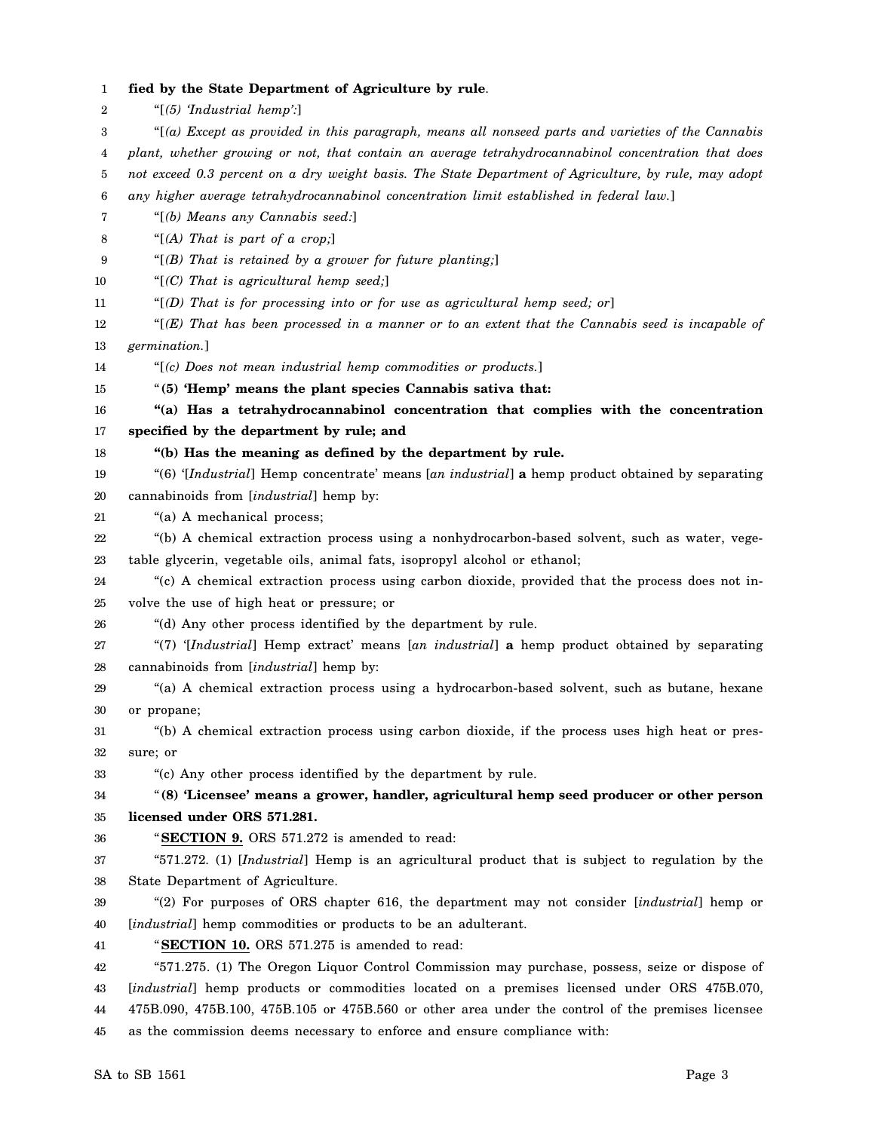1 2 3 4 5 6 7 8 9 10 11 12 13 14 15 16 17 18 19 20 21 22 23 24 25 26 27 28 29 30 31 32 33 34 35 36 37 38 39 40 41 42 43 44 45 **fied by the State Department of Agriculture by rule**. "[*(5) 'Industrial hemp':*] "[*(a) Except as provided in this paragraph, means all nonseed parts and varieties of the Cannabis plant, whether growing or not, that contain an average tetrahydrocannabinol concentration that does not exceed 0.3 percent on a dry weight basis. The State Department of Agriculture, by rule, may adopt any higher average tetrahydrocannabinol concentration limit established in federal law.*] "[*(b) Means any Cannabis seed:*] "[*(A) That is part of a crop;*] "[*(B) That is retained by a grower for future planting;*] "[*(C) That is agricultural hemp seed;*] "[*(D) That is for processing into or for use as agricultural hemp seed; or*] "[*(E) That has been processed in a manner or to an extent that the Cannabis seed is incapable of germination.*] "[*(c) Does not mean industrial hemp commodities or products.*] "**(5) 'Hemp' means the plant species Cannabis sativa that: "(a) Has a tetrahydrocannabinol concentration that complies with the concentration specified by the department by rule; and "(b) Has the meaning as defined by the department by rule.** "(6) '[*Industrial*] Hemp concentrate' means [*an industrial*] **a** hemp product obtained by separating cannabinoids from [*industrial*] hemp by: "(a) A mechanical process; "(b) A chemical extraction process using a nonhydrocarbon-based solvent, such as water, vegetable glycerin, vegetable oils, animal fats, isopropyl alcohol or ethanol; "(c) A chemical extraction process using carbon dioxide, provided that the process does not involve the use of high heat or pressure; or "(d) Any other process identified by the department by rule. "(7) '[*Industrial*] Hemp extract' means [*an industrial*] **a** hemp product obtained by separating cannabinoids from [*industrial*] hemp by: "(a) A chemical extraction process using a hydrocarbon-based solvent, such as butane, hexane or propane; "(b) A chemical extraction process using carbon dioxide, if the process uses high heat or pressure; or "(c) Any other process identified by the department by rule. "**(8) 'Licensee' means a grower, handler, agricultural hemp seed producer or other person licensed under ORS 571.281.** "**SECTION 9.** ORS 571.272 is amended to read: "571.272. (1) [*Industrial*] Hemp is an agricultural product that is subject to regulation by the State Department of Agriculture. "(2) For purposes of ORS chapter 616, the department may not consider [*industrial*] hemp or [*industrial*] hemp commodities or products to be an adulterant. "**SECTION 10.** ORS 571.275 is amended to read: "571.275. (1) The Oregon Liquor Control Commission may purchase, possess, seize or dispose of [*industrial*] hemp products or commodities located on a premises licensed under ORS 475B.070, 475B.090, 475B.100, 475B.105 or 475B.560 or other area under the control of the premises licensee as the commission deems necessary to enforce and ensure compliance with: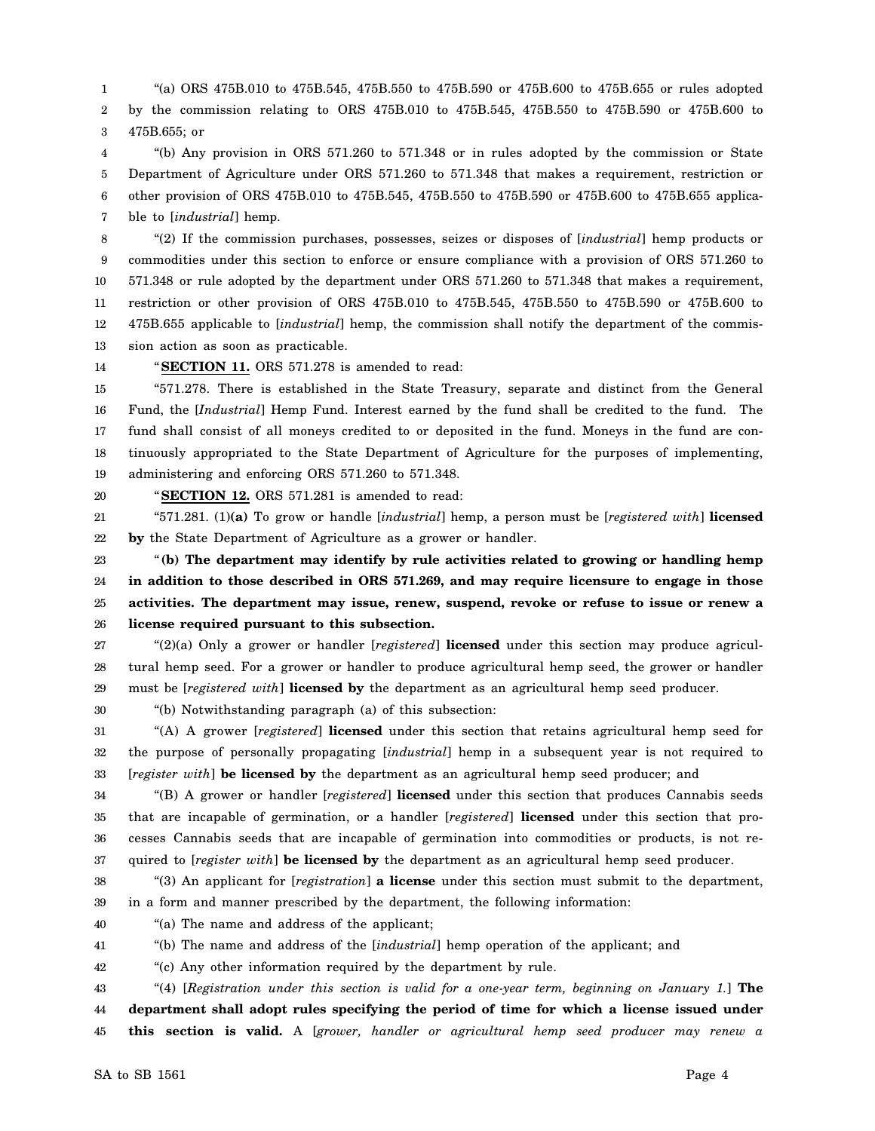1 2 3 "(a) ORS 475B.010 to 475B.545, 475B.550 to 475B.590 or 475B.600 to 475B.655 or rules adopted by the commission relating to ORS 475B.010 to 475B.545, 475B.550 to 475B.590 or 475B.600 to 475B.655; or

4 5 6 7 "(b) Any provision in ORS 571.260 to 571.348 or in rules adopted by the commission or State Department of Agriculture under ORS 571.260 to 571.348 that makes a requirement, restriction or other provision of ORS 475B.010 to 475B.545, 475B.550 to 475B.590 or 475B.600 to 475B.655 applicable to [*industrial*] hemp.

8 9 10 11 12 13 "(2) If the commission purchases, possesses, seizes or disposes of [*industrial*] hemp products or commodities under this section to enforce or ensure compliance with a provision of ORS 571.260 to 571.348 or rule adopted by the department under ORS 571.260 to 571.348 that makes a requirement, restriction or other provision of ORS 475B.010 to 475B.545, 475B.550 to 475B.590 or 475B.600 to 475B.655 applicable to [*industrial*] hemp, the commission shall notify the department of the commission action as soon as practicable.

14

"**SECTION 11.** ORS 571.278 is amended to read:

15 16 17 18 19 "571.278. There is established in the State Treasury, separate and distinct from the General Fund, the [*Industrial*] Hemp Fund. Interest earned by the fund shall be credited to the fund. The fund shall consist of all moneys credited to or deposited in the fund. Moneys in the fund are continuously appropriated to the State Department of Agriculture for the purposes of implementing, administering and enforcing ORS 571.260 to 571.348.

20

"**SECTION 12.** ORS 571.281 is amended to read:

21 22 "571.281. (1)**(a)** To grow or handle [*industrial*] hemp, a person must be [*registered with*] **licensed by** the State Department of Agriculture as a grower or handler.

23 24 25 26 "**(b) The department may identify by rule activities related to growing or handling hemp in addition to those described in ORS 571.269, and may require licensure to engage in those activities. The department may issue, renew, suspend, revoke or refuse to issue or renew a license required pursuant to this subsection.**

27 28 29 "(2)(a) Only a grower or handler [*registered*] **licensed** under this section may produce agricultural hemp seed. For a grower or handler to produce agricultural hemp seed, the grower or handler must be [*registered with*] **licensed by** the department as an agricultural hemp seed producer.

30

31 32 33 "(A) A grower [*registered*] **licensed** under this section that retains agricultural hemp seed for the purpose of personally propagating [*industrial*] hemp in a subsequent year is not required to [*register with*] **be licensed by** the department as an agricultural hemp seed producer; and

34 35 36 37 "(B) A grower or handler [*registered*] **licensed** under this section that produces Cannabis seeds that are incapable of germination, or a handler [*registered*] **licensed** under this section that processes Cannabis seeds that are incapable of germination into commodities or products, is not required to [*register with*] **be licensed by** the department as an agricultural hemp seed producer.

38

39 "(3) An applicant for [*registration*] **a license** under this section must submit to the department, in a form and manner prescribed by the department, the following information:

40 "(a) The name and address of the applicant;

41 "(b) The name and address of the [*industrial*] hemp operation of the applicant; and

42 "(c) Any other information required by the department by rule.

"(b) Notwithstanding paragraph (a) of this subsection:

43 44 45 "(4) [*Registration under this section is valid for a one-year term, beginning on January 1.*] **The department shall adopt rules specifying the period of time for which a license issued under this section is valid.** A [*grower, handler or agricultural hemp seed producer may renew a*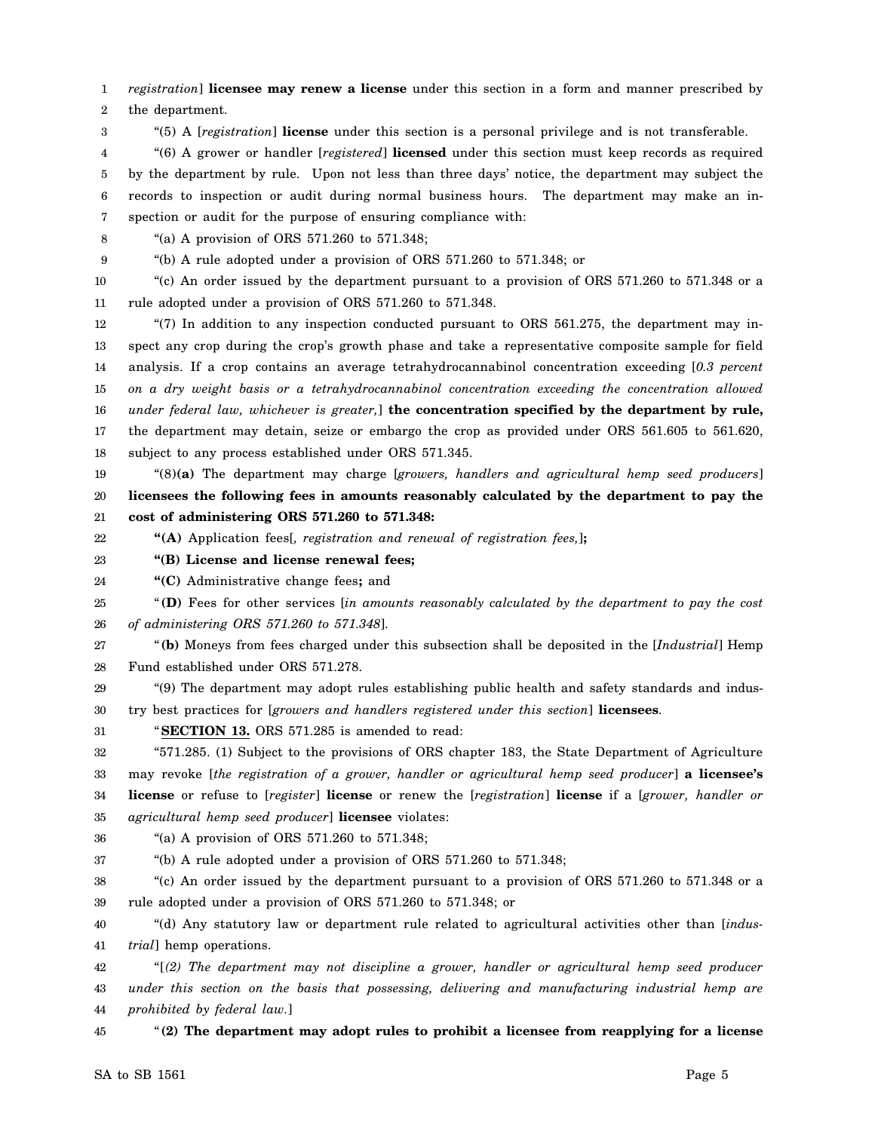1 *registration*] **licensee may renew a license** under this section in a form and manner prescribed by

2 the department.

3 "(5) A [*registration*] **license** under this section is a personal privilege and is not transferable.

4 5 6 7 "(6) A grower or handler [*registered*] **licensed** under this section must keep records as required by the department by rule. Upon not less than three days' notice, the department may subject the records to inspection or audit during normal business hours. The department may make an inspection or audit for the purpose of ensuring compliance with:

8

"(a) A provision of ORS 571.260 to 571.348;

9

"(b) A rule adopted under a provision of ORS 571.260 to 571.348; or

10 11 "(c) An order issued by the department pursuant to a provision of ORS 571.260 to 571.348 or a rule adopted under a provision of ORS 571.260 to 571.348.

12 13 14 15 16 17 18 "(7) In addition to any inspection conducted pursuant to ORS  $561.275$ , the department may inspect any crop during the crop's growth phase and take a representative composite sample for field analysis. If a crop contains an average tetrahydrocannabinol concentration exceeding [*0.3 percent on a dry weight basis or a tetrahydrocannabinol concentration exceeding the concentration allowed under federal law, whichever is greater,*] **the concentration specified by the department by rule,** the department may detain, seize or embargo the crop as provided under ORS 561.605 to 561.620, subject to any process established under ORS 571.345.

19 20 21 "(8)**(a)** The department may charge [*growers, handlers and agricultural hemp seed producers*] **licensees the following fees in amounts reasonably calculated by the department to pay the cost of administering ORS 571.260 to 571.348:**

22 **"(A)** Application fees[*, registration and renewal of registration fees,*]**;**

23 **"(B) License and license renewal fees;**

24 **"(C)** Administrative change fees**;** and

25 26 "**(D)** Fees for other services [*in amounts reasonably calculated by the department to pay the cost of administering ORS 571.260 to 571.348*].

27 28 "**(b)** Moneys from fees charged under this subsection shall be deposited in the [*Industrial*] Hemp Fund established under ORS 571.278.

29 30 "(9) The department may adopt rules establishing public health and safety standards and industry best practices for [*growers and handlers registered under this section*] **licensees**.

31 "**SECTION 13.** ORS 571.285 is amended to read:

32 33 34 35 "571.285. (1) Subject to the provisions of ORS chapter 183, the State Department of Agriculture may revoke [*the registration of a grower, handler or agricultural hemp seed producer*] **a licensee's license** or refuse to [*register*] **license** or renew the [*registration*] **license** if a [*grower, handler or agricultural hemp seed producer*] **licensee** violates:

36 "(a) A provision of ORS 571.260 to 571.348;

37 "(b) A rule adopted under a provision of ORS 571.260 to 571.348;

38 39 "(c) An order issued by the department pursuant to a provision of ORS 571.260 to 571.348 or a rule adopted under a provision of ORS 571.260 to 571.348; or

40 41 "(d) Any statutory law or department rule related to agricultural activities other than [*industrial*] hemp operations.

42 43 44 "[*(2) The department may not discipline a grower, handler or agricultural hemp seed producer under this section on the basis that possessing, delivering and manufacturing industrial hemp are prohibited by federal law.*]

45 "**(2) The department may adopt rules to prohibit a licensee from reapplying for a license**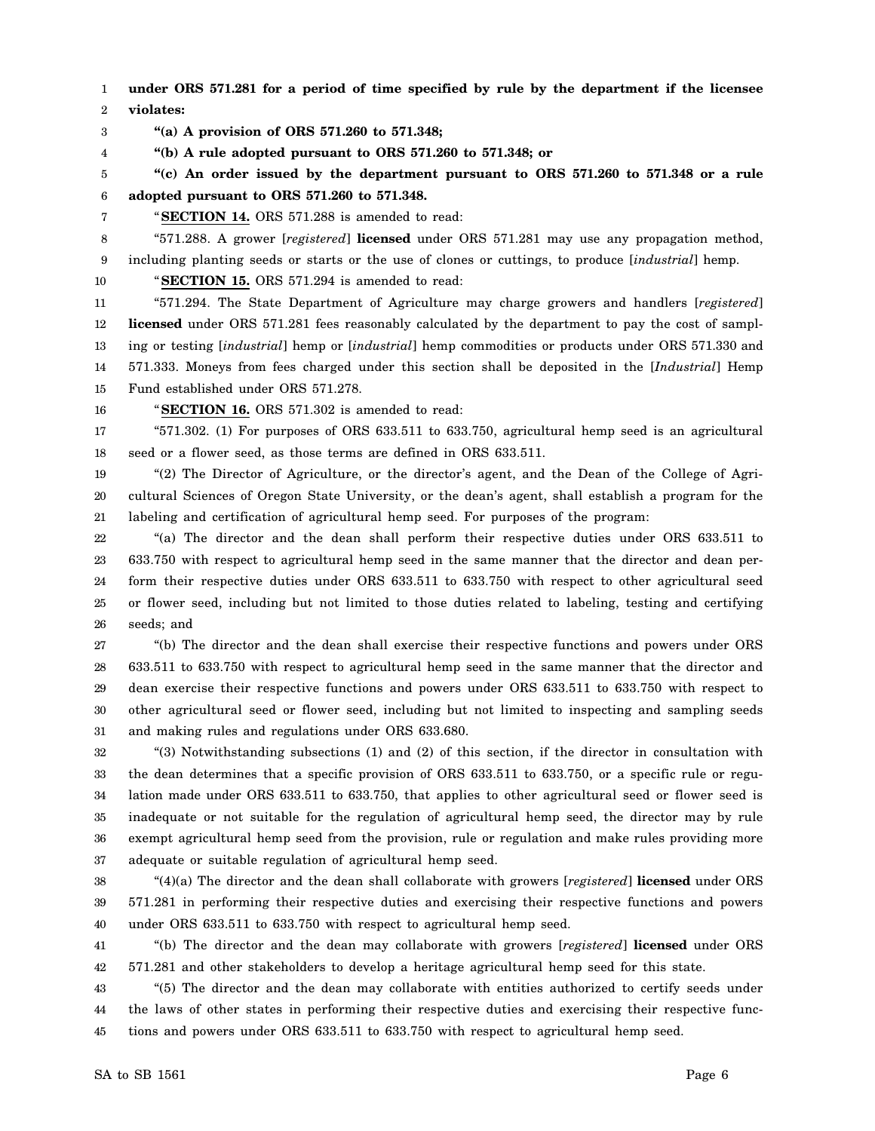1 2 **under ORS 571.281 for a period of time specified by rule by the department if the licensee violates:**

3 **"(a) A provision of ORS 571.260 to 571.348;**

4 **"(b) A rule adopted pursuant to ORS 571.260 to 571.348; or**

5 6 **"(c) An order issued by the department pursuant to ORS 571.260 to 571.348 or a rule adopted pursuant to ORS 571.260 to 571.348.**

7

"**SECTION 14.** ORS 571.288 is amended to read:

8 9 "571.288. A grower [*registered*] **licensed** under ORS 571.281 may use any propagation method, including planting seeds or starts or the use of clones or cuttings, to produce [*industrial*] hemp.

10 "**SECTION 15.** ORS 571.294 is amended to read:

11 12 13 14 15 "571.294. The State Department of Agriculture may charge growers and handlers [*registered*] **licensed** under ORS 571.281 fees reasonably calculated by the department to pay the cost of sampling or testing [*industrial*] hemp or [*industrial*] hemp commodities or products under ORS 571.330 and 571.333. Moneys from fees charged under this section shall be deposited in the [*Industrial*] Hemp Fund established under ORS 571.278.

16

"**SECTION 16.** ORS 571.302 is amended to read:

17 18 "571.302. (1) For purposes of ORS 633.511 to 633.750, agricultural hemp seed is an agricultural seed or a flower seed, as those terms are defined in ORS 633.511.

19 20 21 "(2) The Director of Agriculture, or the director's agent, and the Dean of the College of Agricultural Sciences of Oregon State University, or the dean's agent, shall establish a program for the labeling and certification of agricultural hemp seed. For purposes of the program:

22 23 24 25 26 "(a) The director and the dean shall perform their respective duties under ORS 633.511 to 633.750 with respect to agricultural hemp seed in the same manner that the director and dean perform their respective duties under ORS 633.511 to 633.750 with respect to other agricultural seed or flower seed, including but not limited to those duties related to labeling, testing and certifying seeds; and

27 28 29 30 31 "(b) The director and the dean shall exercise their respective functions and powers under ORS 633.511 to 633.750 with respect to agricultural hemp seed in the same manner that the director and dean exercise their respective functions and powers under ORS 633.511 to 633.750 with respect to other agricultural seed or flower seed, including but not limited to inspecting and sampling seeds and making rules and regulations under ORS 633.680.

32 33 34 35 36 37 "(3) Notwithstanding subsections (1) and (2) of this section, if the director in consultation with the dean determines that a specific provision of ORS 633.511 to 633.750, or a specific rule or regulation made under ORS 633.511 to 633.750, that applies to other agricultural seed or flower seed is inadequate or not suitable for the regulation of agricultural hemp seed, the director may by rule exempt agricultural hemp seed from the provision, rule or regulation and make rules providing more adequate or suitable regulation of agricultural hemp seed.

38 39 40 "(4)(a) The director and the dean shall collaborate with growers [*registered*] **licensed** under ORS 571.281 in performing their respective duties and exercising their respective functions and powers under ORS 633.511 to 633.750 with respect to agricultural hemp seed.

41 42 "(b) The director and the dean may collaborate with growers [*registered*] **licensed** under ORS 571.281 and other stakeholders to develop a heritage agricultural hemp seed for this state.

43 44 45 "(5) The director and the dean may collaborate with entities authorized to certify seeds under the laws of other states in performing their respective duties and exercising their respective functions and powers under ORS 633.511 to 633.750 with respect to agricultural hemp seed.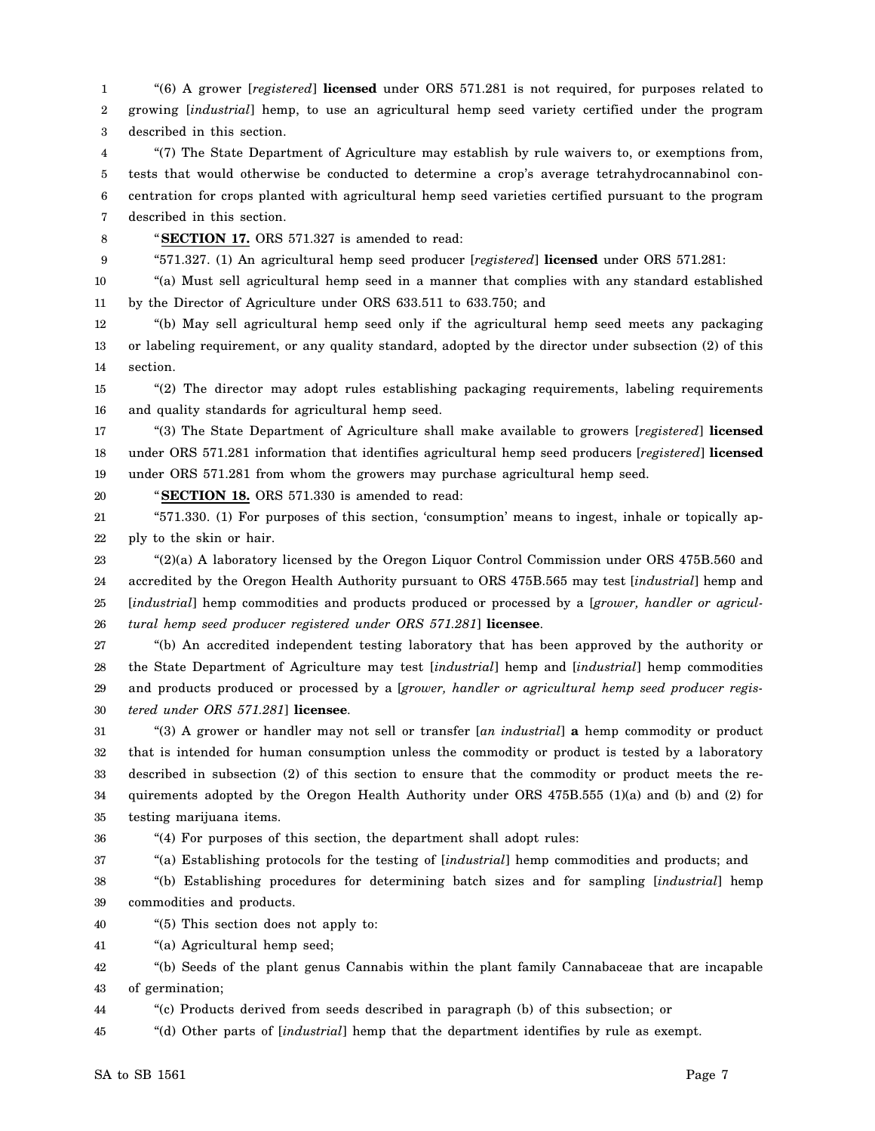1 2 3 "(6) A grower [*registered*] **licensed** under ORS 571.281 is not required, for purposes related to growing [*industrial*] hemp, to use an agricultural hemp seed variety certified under the program described in this section.

4 5 6 7 "(7) The State Department of Agriculture may establish by rule waivers to, or exemptions from, tests that would otherwise be conducted to determine a crop's average tetrahydrocannabinol concentration for crops planted with agricultural hemp seed varieties certified pursuant to the program described in this section.

8 9

20

"**SECTION 17.** ORS 571.327 is amended to read:

"571.327. (1) An agricultural hemp seed producer [*registered*] **licensed** under ORS 571.281:

10 11 "(a) Must sell agricultural hemp seed in a manner that complies with any standard established by the Director of Agriculture under ORS 633.511 to 633.750; and

12 13 14 "(b) May sell agricultural hemp seed only if the agricultural hemp seed meets any packaging or labeling requirement, or any quality standard, adopted by the director under subsection (2) of this section.

15 16 "(2) The director may adopt rules establishing packaging requirements, labeling requirements and quality standards for agricultural hemp seed.

17 18 19 "(3) The State Department of Agriculture shall make available to growers [*registered*] **licensed** under ORS 571.281 information that identifies agricultural hemp seed producers [*registered*] **licensed** under ORS 571.281 from whom the growers may purchase agricultural hemp seed.

"**SECTION 18.** ORS 571.330 is amended to read:

21 22 "571.330. (1) For purposes of this section, 'consumption' means to ingest, inhale or topically apply to the skin or hair.

23 24 25 26 "(2)(a) A laboratory licensed by the Oregon Liquor Control Commission under ORS 475B.560 and accredited by the Oregon Health Authority pursuant to ORS 475B.565 may test [*industrial*] hemp and [industrial] hemp commodities and products produced or processed by a [*grower*, handler or agricul*tural hemp seed producer registered under ORS 571.281*] **licensee**.

27 28 29 30 "(b) An accredited independent testing laboratory that has been approved by the authority or the State Department of Agriculture may test [*industrial*] hemp and [*industrial*] hemp commodities and products produced or processed by a [*grower, handler or agricultural hemp seed producer registered under ORS 571.281*] **licensee**.

31 32 33 34 35 "(3) A grower or handler may not sell or transfer [*an industrial*] **a** hemp commodity or product that is intended for human consumption unless the commodity or product is tested by a laboratory described in subsection (2) of this section to ensure that the commodity or product meets the requirements adopted by the Oregon Health Authority under ORS 475B.555 (1)(a) and (b) and (2) for testing marijuana items.

36

"(4) For purposes of this section, the department shall adopt rules:

37 "(a) Establishing protocols for the testing of [*industrial*] hemp commodities and products; and

38 39 "(b) Establishing procedures for determining batch sizes and for sampling [*industrial*] hemp commodities and products.

40 "(5) This section does not apply to:

41 "(a) Agricultural hemp seed;

42 43 "(b) Seeds of the plant genus Cannabis within the plant family Cannabaceae that are incapable of germination;

44 "(c) Products derived from seeds described in paragraph (b) of this subsection; or

45 "(d) Other parts of [*industrial*] hemp that the department identifies by rule as exempt.

 $SA$  to  $SB$  1561 Page 7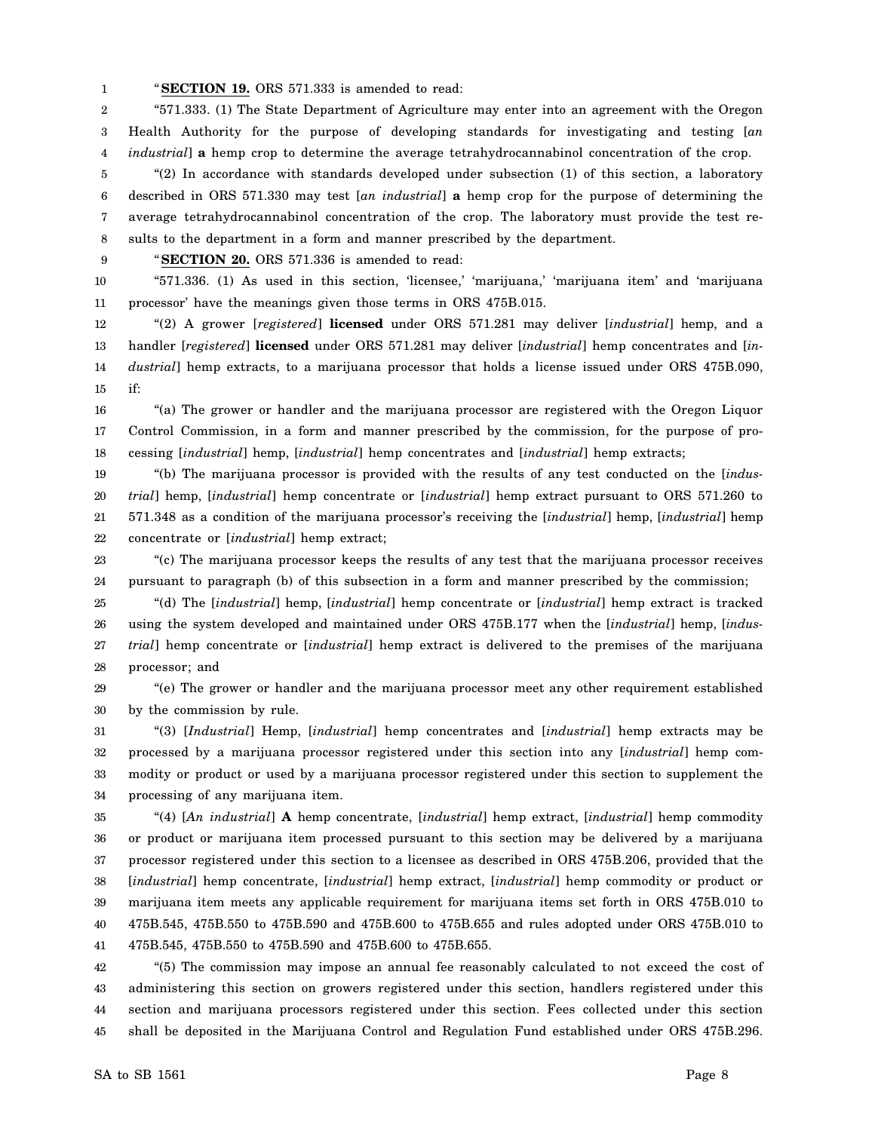1 "**SECTION 19.** ORS 571.333 is amended to read:

2 3 4 "571.333. (1) The State Department of Agriculture may enter into an agreement with the Oregon Health Authority for the purpose of developing standards for investigating and testing [*an industrial*] **a** hemp crop to determine the average tetrahydrocannabinol concentration of the crop.

5 6 7 8 "(2) In accordance with standards developed under subsection (1) of this section, a laboratory described in ORS 571.330 may test [*an industrial*] **a** hemp crop for the purpose of determining the average tetrahydrocannabinol concentration of the crop. The laboratory must provide the test results to the department in a form and manner prescribed by the department.

9 "**SECTION 20.** ORS 571.336 is amended to read:

10 11 "571.336. (1) As used in this section, 'licensee,' 'marijuana,' 'marijuana item' and 'marijuana processor' have the meanings given those terms in ORS 475B.015.

12 13 14 15 "(2) A grower [*registered*] **licensed** under ORS 571.281 may deliver [*industrial*] hemp, and a handler [*registered*] **licensed** under ORS 571.281 may deliver [*industrial*] hemp concentrates and [*industrial*] hemp extracts, to a marijuana processor that holds a license issued under ORS 475B.090, if:

16 17 18 "(a) The grower or handler and the marijuana processor are registered with the Oregon Liquor Control Commission, in a form and manner prescribed by the commission, for the purpose of processing [*industrial*] hemp, [*industrial*] hemp concentrates and [*industrial*] hemp extracts;

19 20 21 22 "(b) The marijuana processor is provided with the results of any test conducted on the [*industrial*] hemp, [*industrial*] hemp concentrate or [*industrial*] hemp extract pursuant to ORS 571.260 to 571.348 as a condition of the marijuana processor's receiving the [*industrial*] hemp, [*industrial*] hemp concentrate or [*industrial*] hemp extract;

23 24 "(c) The marijuana processor keeps the results of any test that the marijuana processor receives pursuant to paragraph (b) of this subsection in a form and manner prescribed by the commission;

25 26 27 28 "(d) The [*industrial*] hemp, [*industrial*] hemp concentrate or [*industrial*] hemp extract is tracked using the system developed and maintained under ORS 475B.177 when the [*industrial*] hemp, [*industrial*] hemp concentrate or [*industrial*] hemp extract is delivered to the premises of the marijuana processor; and

29 30 "(e) The grower or handler and the marijuana processor meet any other requirement established by the commission by rule.

31 32 33 34 "(3) [*Industrial*] Hemp, [*industrial*] hemp concentrates and [*industrial*] hemp extracts may be processed by a marijuana processor registered under this section into any [*industrial*] hemp commodity or product or used by a marijuana processor registered under this section to supplement the processing of any marijuana item.

35 36 37 38 39 40 41 "(4) [*An industrial*] **A** hemp concentrate, [*industrial*] hemp extract, [*industrial*] hemp commodity or product or marijuana item processed pursuant to this section may be delivered by a marijuana processor registered under this section to a licensee as described in ORS 475B.206, provided that the [*industrial*] hemp concentrate, [*industrial*] hemp extract, [*industrial*] hemp commodity or product or marijuana item meets any applicable requirement for marijuana items set forth in ORS 475B.010 to 475B.545, 475B.550 to 475B.590 and 475B.600 to 475B.655 and rules adopted under ORS 475B.010 to 475B.545, 475B.550 to 475B.590 and 475B.600 to 475B.655.

42 43 44 45 "(5) The commission may impose an annual fee reasonably calculated to not exceed the cost of administering this section on growers registered under this section, handlers registered under this section and marijuana processors registered under this section. Fees collected under this section shall be deposited in the Marijuana Control and Regulation Fund established under ORS 475B.296.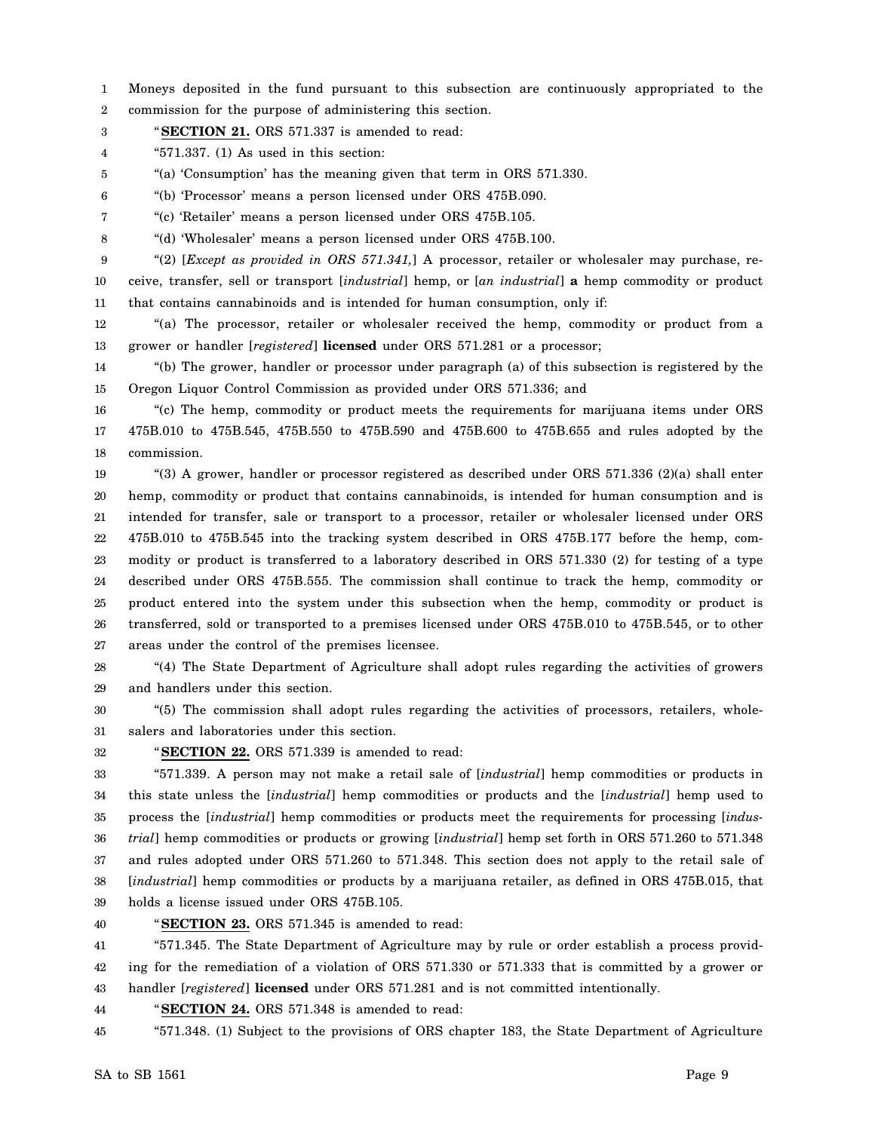1 2 Moneys deposited in the fund pursuant to this subsection are continuously appropriated to the commission for the purpose of administering this section.

3 "**SECTION 21.** ORS 571.337 is amended to read:

4 "571.337. (1) As used in this section:

5 "(a) 'Consumption' has the meaning given that term in ORS 571.330.

6 "(b) 'Processor' means a person licensed under ORS 475B.090.

7 "(c) 'Retailer' means a person licensed under ORS 475B.105.

8 "(d) 'Wholesaler' means a person licensed under ORS 475B.100.

9 10 11 "(2) [*Except as provided in ORS 571.341,*] A processor, retailer or wholesaler may purchase, receive, transfer, sell or transport [*industrial*] hemp, or [*an industrial*] **a** hemp commodity or product that contains cannabinoids and is intended for human consumption, only if:

12 13 "(a) The processor, retailer or wholesaler received the hemp, commodity or product from a grower or handler [*registered*] **licensed** under ORS 571.281 or a processor;

14 15 "(b) The grower, handler or processor under paragraph (a) of this subsection is registered by the Oregon Liquor Control Commission as provided under ORS 571.336; and

16 17 18 "(c) The hemp, commodity or product meets the requirements for marijuana items under ORS 475B.010 to 475B.545, 475B.550 to 475B.590 and 475B.600 to 475B.655 and rules adopted by the commission.

19 20 21 22 23 24 25 26 27 "(3) A grower, handler or processor registered as described under ORS 571.336 (2)(a) shall enter hemp, commodity or product that contains cannabinoids, is intended for human consumption and is intended for transfer, sale or transport to a processor, retailer or wholesaler licensed under ORS 475B.010 to 475B.545 into the tracking system described in ORS 475B.177 before the hemp, commodity or product is transferred to a laboratory described in ORS 571.330 (2) for testing of a type described under ORS 475B.555. The commission shall continue to track the hemp, commodity or product entered into the system under this subsection when the hemp, commodity or product is transferred, sold or transported to a premises licensed under ORS 475B.010 to 475B.545, or to other areas under the control of the premises licensee.

28 29 "(4) The State Department of Agriculture shall adopt rules regarding the activities of growers and handlers under this section.

30 31 "(5) The commission shall adopt rules regarding the activities of processors, retailers, wholesalers and laboratories under this section.

32

"**SECTION 22.** ORS 571.339 is amended to read:

33 34 35 36 37 38 39 "571.339. A person may not make a retail sale of [*industrial*] hemp commodities or products in this state unless the [*industrial*] hemp commodities or products and the [*industrial*] hemp used to process the [*industrial*] hemp commodities or products meet the requirements for processing [*industrial*] hemp commodities or products or growing [*industrial*] hemp set forth in ORS 571.260 to 571.348 and rules adopted under ORS 571.260 to 571.348. This section does not apply to the retail sale of [*industrial*] hemp commodities or products by a marijuana retailer, as defined in ORS 475B.015, that holds a license issued under ORS 475B.105.

40

"**SECTION 23.** ORS 571.345 is amended to read:

41 42 43 "571.345. The State Department of Agriculture may by rule or order establish a process providing for the remediation of a violation of ORS 571.330 or 571.333 that is committed by a grower or handler [*registered*] **licensed** under ORS 571.281 and is not committed intentionally.

44 "**SECTION 24.** ORS 571.348 is amended to read:

45 "571.348. (1) Subject to the provisions of ORS chapter 183, the State Department of Agriculture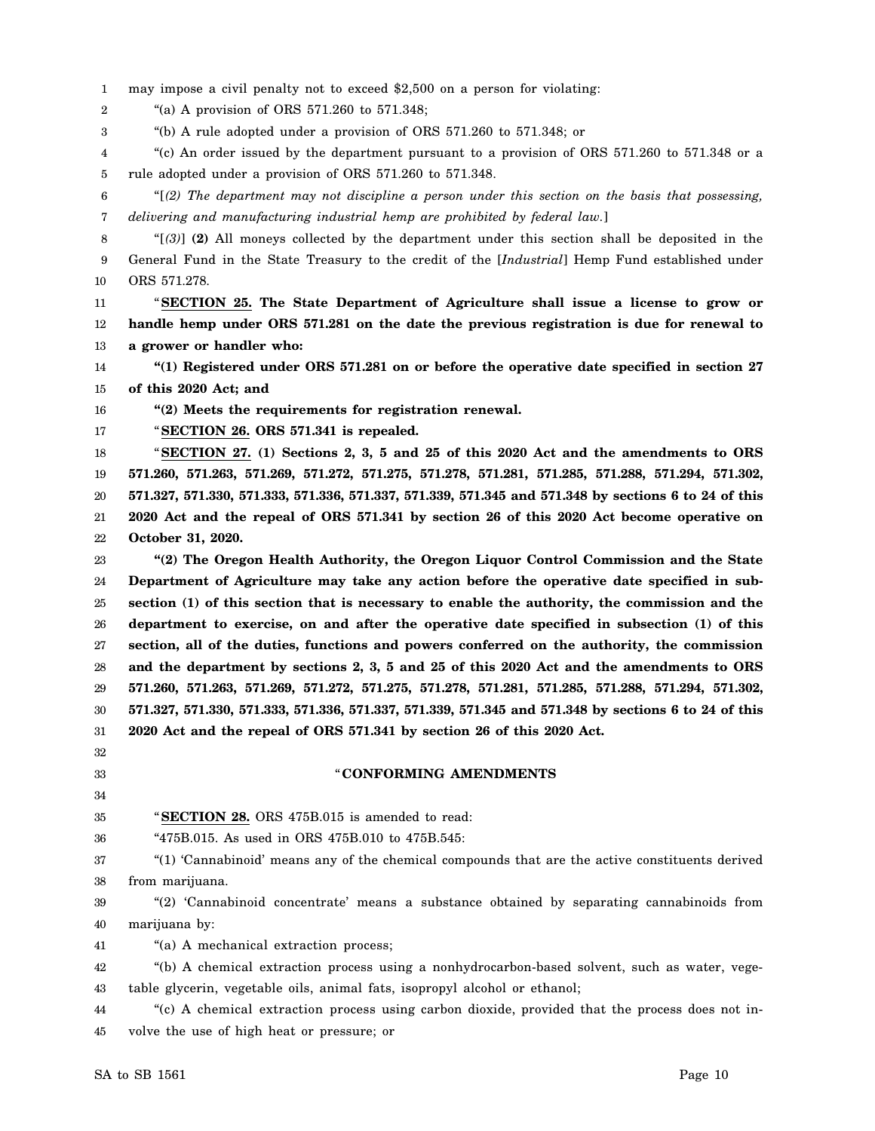1 may impose a civil penalty not to exceed \$2,500 on a person for violating:

2 "(a) A provision of ORS 571.260 to 571.348;

3 "(b) A rule adopted under a provision of ORS 571.260 to 571.348; or

4 5 "(c) An order issued by the department pursuant to a provision of ORS 571.260 to 571.348 or a rule adopted under a provision of ORS 571.260 to 571.348.

- 6 7 "[*(2) The department may not discipline a person under this section on the basis that possessing, delivering and manufacturing industrial hemp are prohibited by federal law.*]
- 8 9 10 "[*(3)*] **(2)** All moneys collected by the department under this section shall be deposited in the General Fund in the State Treasury to the credit of the [*Industrial*] Hemp Fund established under ORS 571.278.

11 12 13 "**SECTION 25. The State Department of Agriculture shall issue a license to grow or handle hemp under ORS 571.281 on the date the previous registration is due for renewal to a grower or handler who:**

14 15 **"(1) Registered under ORS 571.281 on or before the operative date specified in section 27 of this 2020 Act; and**

16 **"(2) Meets the requirements for registration renewal.**

17 "**SECTION 26. ORS 571.341 is repealed.**

18 19 20 21 22 "**SECTION 27. (1) Sections 2, 3, 5 and 25 of this 2020 Act and the amendments to ORS 571.260, 571.263, 571.269, 571.272, 571.275, 571.278, 571.281, 571.285, 571.288, 571.294, 571.302, 571.327, 571.330, 571.333, 571.336, 571.337, 571.339, 571.345 and 571.348 by sections 6 to 24 of this 2020 Act and the repeal of ORS 571.341 by section 26 of this 2020 Act become operative on October 31, 2020.**

23 24 25 26 27 28 29 30 31 **"(2) The Oregon Health Authority, the Oregon Liquor Control Commission and the State Department of Agriculture may take any action before the operative date specified in subsection (1) of this section that is necessary to enable the authority, the commission and the department to exercise, on and after the operative date specified in subsection (1) of this section, all of the duties, functions and powers conferred on the authority, the commission and the department by sections 2, 3, 5 and 25 of this 2020 Act and the amendments to ORS 571.260, 571.263, 571.269, 571.272, 571.275, 571.278, 571.281, 571.285, 571.288, 571.294, 571.302, 571.327, 571.330, 571.333, 571.336, 571.337, 571.339, 571.345 and 571.348 by sections 6 to 24 of this 2020 Act and the repeal of ORS 571.341 by section 26 of this 2020 Act.**

# 32

33 34

#### "**CONFORMING AMENDMENTS**

35 "**SECTION 28.** ORS 475B.015 is amended to read:

36 "475B.015. As used in ORS 475B.010 to 475B.545:

37 38 "(1) 'Cannabinoid' means any of the chemical compounds that are the active constituents derived from marijuana.

39 40 "(2) 'Cannabinoid concentrate' means a substance obtained by separating cannabinoids from marijuana by:

41 "(a) A mechanical extraction process;

42 43 "(b) A chemical extraction process using a nonhydrocarbon-based solvent, such as water, vegetable glycerin, vegetable oils, animal fats, isopropyl alcohol or ethanol;

44 45 "(c) A chemical extraction process using carbon dioxide, provided that the process does not involve the use of high heat or pressure; or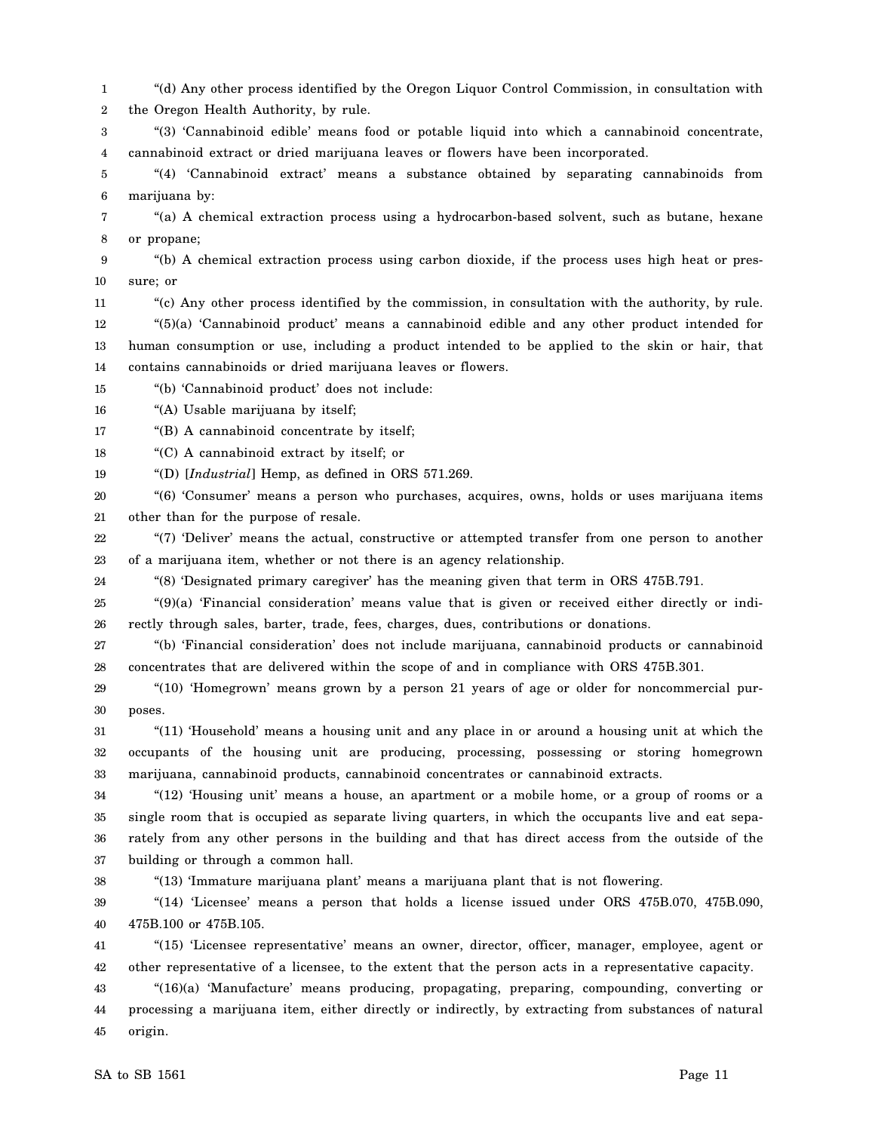1 2 "(d) Any other process identified by the Oregon Liquor Control Commission, in consultation with the Oregon Health Authority, by rule.

3 4 "(3) 'Cannabinoid edible' means food or potable liquid into which a cannabinoid concentrate, cannabinoid extract or dried marijuana leaves or flowers have been incorporated.

5 6 "(4) 'Cannabinoid extract' means a substance obtained by separating cannabinoids from marijuana by:

7 8 "(a) A chemical extraction process using a hydrocarbon-based solvent, such as butane, hexane or propane;

9 10 "(b) A chemical extraction process using carbon dioxide, if the process uses high heat or pressure; or

11 12 13 14 "(c) Any other process identified by the commission, in consultation with the authority, by rule. "(5)(a) 'Cannabinoid product' means a cannabinoid edible and any other product intended for human consumption or use, including a product intended to be applied to the skin or hair, that contains cannabinoids or dried marijuana leaves or flowers.

15 "(b) 'Cannabinoid product' does not include:

16 "(A) Usable marijuana by itself;

17 "(B) A cannabinoid concentrate by itself;

18 "(C) A cannabinoid extract by itself; or

19 "(D) [*Industrial*] Hemp, as defined in ORS 571.269.

20 21 "(6) 'Consumer' means a person who purchases, acquires, owns, holds or uses marijuana items other than for the purpose of resale.

22 23 "(7) 'Deliver' means the actual, constructive or attempted transfer from one person to another of a marijuana item, whether or not there is an agency relationship.

24 "(8) 'Designated primary caregiver' has the meaning given that term in ORS 475B.791.

25 26 "(9)(a) 'Financial consideration' means value that is given or received either directly or indirectly through sales, barter, trade, fees, charges, dues, contributions or donations.

27 28 "(b) 'Financial consideration' does not include marijuana, cannabinoid products or cannabinoid concentrates that are delivered within the scope of and in compliance with ORS 475B.301.

29 30 "(10) 'Homegrown' means grown by a person 21 years of age or older for noncommercial purposes.

31 32 33 "(11) 'Household' means a housing unit and any place in or around a housing unit at which the occupants of the housing unit are producing, processing, possessing or storing homegrown marijuana, cannabinoid products, cannabinoid concentrates or cannabinoid extracts.

34 35 36 37 "(12) 'Housing unit' means a house, an apartment or a mobile home, or a group of rooms or a single room that is occupied as separate living quarters, in which the occupants live and eat separately from any other persons in the building and that has direct access from the outside of the building or through a common hall.

38

"(13) 'Immature marijuana plant' means a marijuana plant that is not flowering.

39 40 "(14) 'Licensee' means a person that holds a license issued under ORS 475B.070, 475B.090, 475B.100 or 475B.105.

41 42 "(15) 'Licensee representative' means an owner, director, officer, manager, employee, agent or other representative of a licensee, to the extent that the person acts in a representative capacity.

43 44 45 "(16)(a) 'Manufacture' means producing, propagating, preparing, compounding, converting or processing a marijuana item, either directly or indirectly, by extracting from substances of natural origin.

 $SA$  to  $SB$  1561 Page 11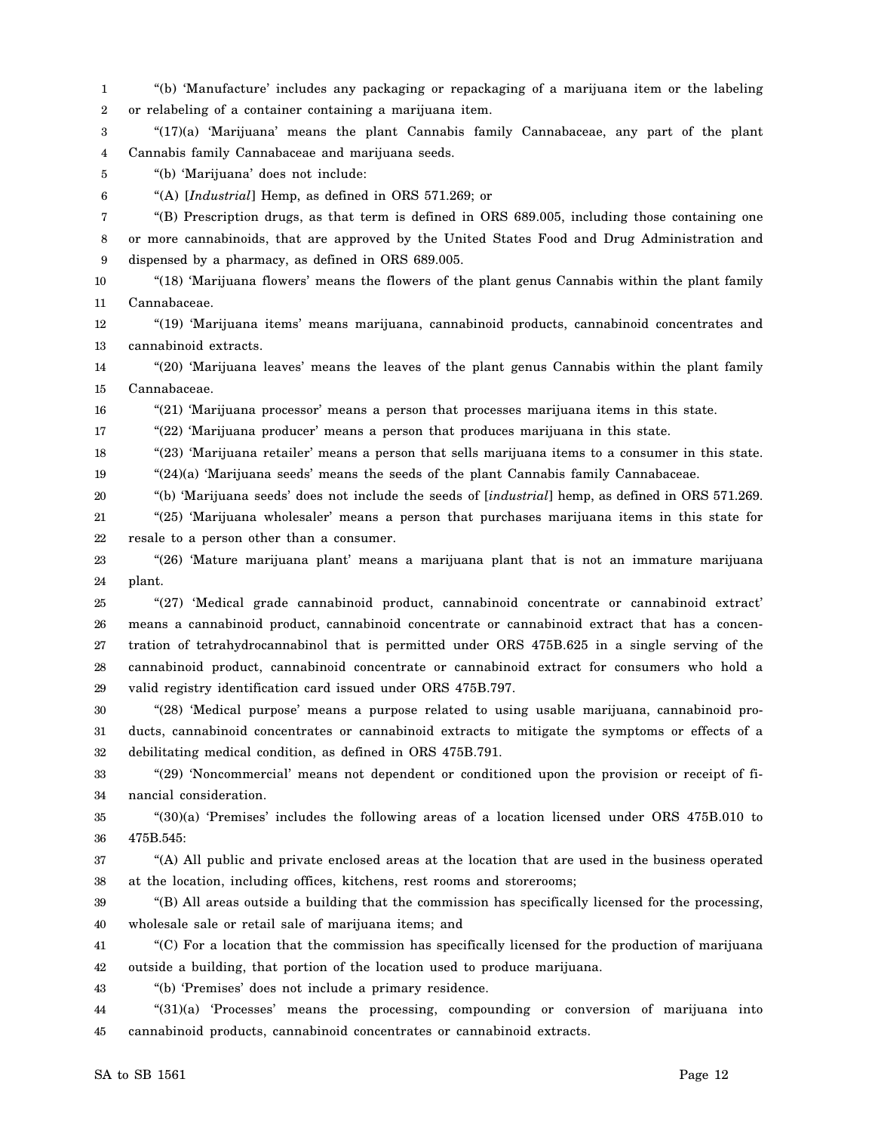1 2 3 4 5 6 7 8 9 10 11 12 13 14 15 16 17 18 19 20 21 22 23 24 25 26 27 28 29 30 31 32 33 34 35 36 37 38 39 40 41 42 43 44 45 "(b) 'Manufacture' includes any packaging or repackaging of a marijuana item or the labeling or relabeling of a container containing a marijuana item. "(17)(a) 'Marijuana' means the plant Cannabis family Cannabaceae, any part of the plant Cannabis family Cannabaceae and marijuana seeds. "(b) 'Marijuana' does not include: "(A) [*Industrial*] Hemp, as defined in ORS 571.269; or "(B) Prescription drugs, as that term is defined in ORS 689.005, including those containing one or more cannabinoids, that are approved by the United States Food and Drug Administration and dispensed by a pharmacy, as defined in ORS 689.005. "(18) 'Marijuana flowers' means the flowers of the plant genus Cannabis within the plant family Cannabaceae. "(19) 'Marijuana items' means marijuana, cannabinoid products, cannabinoid concentrates and cannabinoid extracts. "(20) 'Marijuana leaves' means the leaves of the plant genus Cannabis within the plant family Cannabaceae. "(21) 'Marijuana processor' means a person that processes marijuana items in this state. "(22) 'Marijuana producer' means a person that produces marijuana in this state. "(23) 'Marijuana retailer' means a person that sells marijuana items to a consumer in this state.  $(24)(a)$  'Marijuana seeds' means the seeds of the plant Cannabis family Cannabaceae. "(b) 'Marijuana seeds' does not include the seeds of [*industrial*] hemp, as defined in ORS 571.269. "(25) 'Marijuana wholesaler' means a person that purchases marijuana items in this state for resale to a person other than a consumer. "(26) 'Mature marijuana plant' means a marijuana plant that is not an immature marijuana plant. "(27) 'Medical grade cannabinoid product, cannabinoid concentrate or cannabinoid extract' means a cannabinoid product, cannabinoid concentrate or cannabinoid extract that has a concentration of tetrahydrocannabinol that is permitted under ORS 475B.625 in a single serving of the cannabinoid product, cannabinoid concentrate or cannabinoid extract for consumers who hold a valid registry identification card issued under ORS 475B.797. "(28) 'Medical purpose' means a purpose related to using usable marijuana, cannabinoid products, cannabinoid concentrates or cannabinoid extracts to mitigate the symptoms or effects of a debilitating medical condition, as defined in ORS 475B.791. "(29) 'Noncommercial' means not dependent or conditioned upon the provision or receipt of financial consideration. "(30)(a) 'Premises' includes the following areas of a location licensed under ORS 475B.010 to 475B.545: "(A) All public and private enclosed areas at the location that are used in the business operated at the location, including offices, kitchens, rest rooms and storerooms; "(B) All areas outside a building that the commission has specifically licensed for the processing, wholesale sale or retail sale of marijuana items; and "(C) For a location that the commission has specifically licensed for the production of marijuana outside a building, that portion of the location used to produce marijuana. "(b) 'Premises' does not include a primary residence. "(31)(a) 'Processes' means the processing, compounding or conversion of marijuana into cannabinoid products, cannabinoid concentrates or cannabinoid extracts.

 $SA$  to  $SB$  1561 Page 12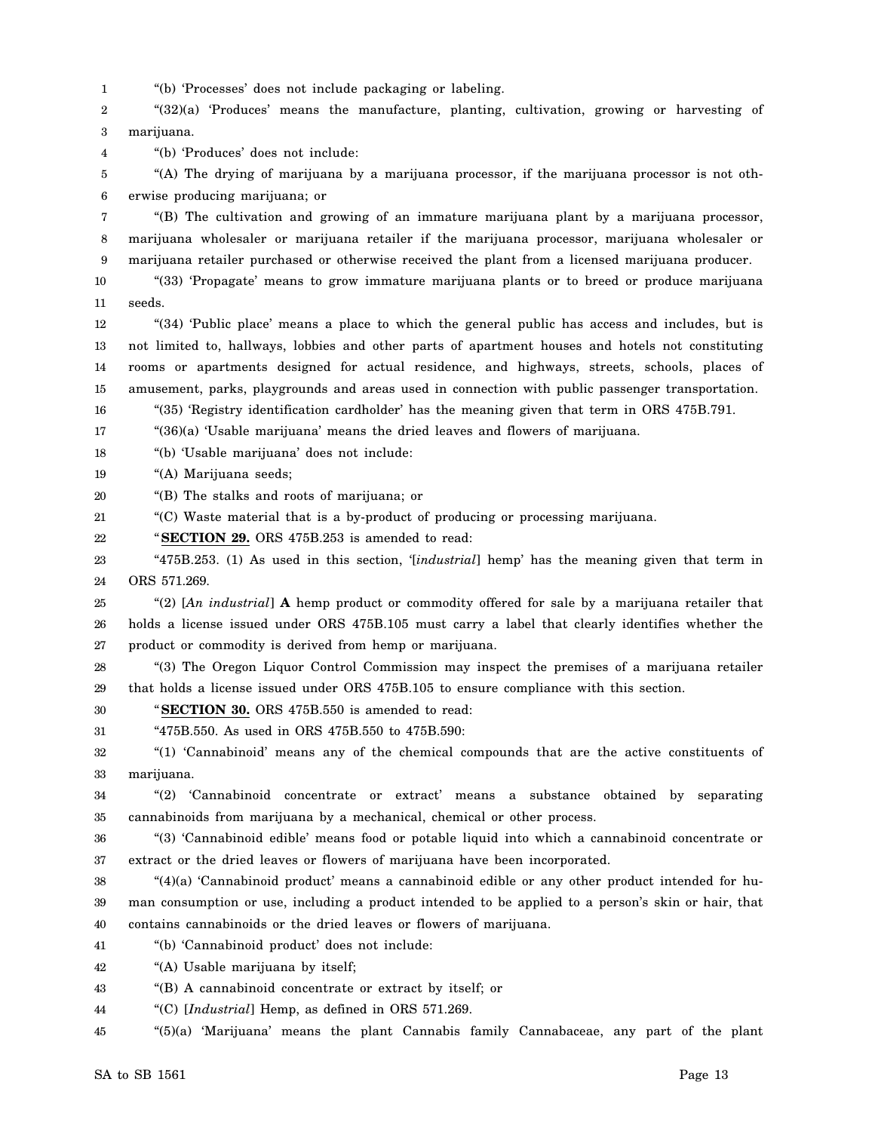1 "(b) 'Processes' does not include packaging or labeling.

2 3 "(32)(a) 'Produces' means the manufacture, planting, cultivation, growing or harvesting of marijuana.

"(b) 'Produces' does not include:

4

5 6 "(A) The drying of marijuana by a marijuana processor, if the marijuana processor is not otherwise producing marijuana; or

7 8 9 "(B) The cultivation and growing of an immature marijuana plant by a marijuana processor, marijuana wholesaler or marijuana retailer if the marijuana processor, marijuana wholesaler or marijuana retailer purchased or otherwise received the plant from a licensed marijuana producer.

10 11 "(33) 'Propagate' means to grow immature marijuana plants or to breed or produce marijuana seeds.

12 13 14 15 "(34) 'Public place' means a place to which the general public has access and includes, but is not limited to, hallways, lobbies and other parts of apartment houses and hotels not constituting rooms or apartments designed for actual residence, and highways, streets, schools, places of amusement, parks, playgrounds and areas used in connection with public passenger transportation.

16 "(35) 'Registry identification cardholder' has the meaning given that term in ORS 475B.791.

17 "(36)(a) 'Usable marijuana' means the dried leaves and flowers of marijuana.

18 "(b) 'Usable marijuana' does not include:

19 "(A) Marijuana seeds;

20 "(B) The stalks and roots of marijuana; or

21 "(C) Waste material that is a by-product of producing or processing marijuana.

22 "**SECTION 29.** ORS 475B.253 is amended to read:

23 24 "475B.253. (1) As used in this section, '[*industrial*] hemp' has the meaning given that term in ORS 571.269.

25 26 27 "(2) [*An industrial*] **A** hemp product or commodity offered for sale by a marijuana retailer that holds a license issued under ORS 475B.105 must carry a label that clearly identifies whether the product or commodity is derived from hemp or marijuana.

28 29 "(3) The Oregon Liquor Control Commission may inspect the premises of a marijuana retailer that holds a license issued under ORS 475B.105 to ensure compliance with this section.

30 "**SECTION 30.** ORS 475B.550 is amended to read:

31 "475B.550. As used in ORS 475B.550 to 475B.590:

32 33 "(1) 'Cannabinoid' means any of the chemical compounds that are the active constituents of marijuana.

34 35 "(2) 'Cannabinoid concentrate or extract' means a substance obtained by separating cannabinoids from marijuana by a mechanical, chemical or other process.

36 37 "(3) 'Cannabinoid edible' means food or potable liquid into which a cannabinoid concentrate or extract or the dried leaves or flowers of marijuana have been incorporated.

38 39 40 " $(4)(a)$  'Cannabinoid product' means a cannabinoid edible or any other product intended for human consumption or use, including a product intended to be applied to a person's skin or hair, that contains cannabinoids or the dried leaves or flowers of marijuana.

41 "(b) 'Cannabinoid product' does not include:

42 "(A) Usable marijuana by itself;

43 "(B) A cannabinoid concentrate or extract by itself; or

44 "(C) [*Industrial*] Hemp, as defined in ORS 571.269.

45 "(5)(a) 'Marijuana' means the plant Cannabis family Cannabaceae, any part of the plant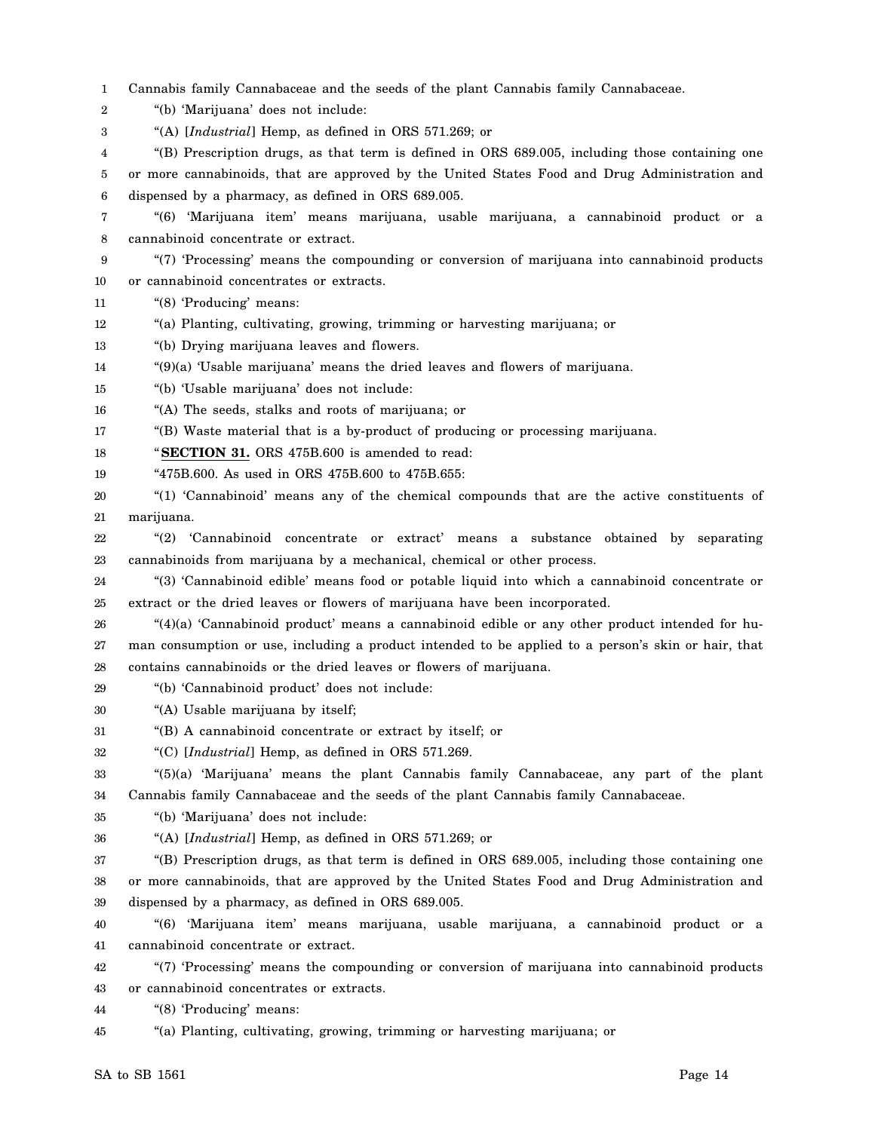1 Cannabis family Cannabaceae and the seeds of the plant Cannabis family Cannabaceae.

2 "(b) 'Marijuana' does not include:

3 "(A) [*Industrial*] Hemp, as defined in ORS 571.269; or

4 5 6 "(B) Prescription drugs, as that term is defined in ORS 689.005, including those containing one or more cannabinoids, that are approved by the United States Food and Drug Administration and dispensed by a pharmacy, as defined in ORS 689.005.

7 8 "(6) 'Marijuana item' means marijuana, usable marijuana, a cannabinoid product or a cannabinoid concentrate or extract.

9 10 "(7) 'Processing' means the compounding or conversion of marijuana into cannabinoid products or cannabinoid concentrates or extracts.

- 11 "(8) 'Producing' means:
- 12 "(a) Planting, cultivating, growing, trimming or harvesting marijuana; or
- 13 "(b) Drying marijuana leaves and flowers.
- 14 "(9)(a) 'Usable marijuana' means the dried leaves and flowers of marijuana.
- 15 "(b) 'Usable marijuana' does not include:
- 16 "(A) The seeds, stalks and roots of marijuana; or

17 "(B) Waste material that is a by-product of producing or processing marijuana.

18 "**SECTION 31.** ORS 475B.600 is amended to read:

- 19 "475B.600. As used in ORS 475B.600 to 475B.655:
- 20 21 "(1) 'Cannabinoid' means any of the chemical compounds that are the active constituents of marijuana.
- 22 23 "(2) 'Cannabinoid concentrate or extract' means a substance obtained by separating cannabinoids from marijuana by a mechanical, chemical or other process.

24 25 "(3) 'Cannabinoid edible' means food or potable liquid into which a cannabinoid concentrate or extract or the dried leaves or flowers of marijuana have been incorporated.

26 27 28 " $(4)(a)$  'Cannabinoid product' means a cannabinoid edible or any other product intended for human consumption or use, including a product intended to be applied to a person's skin or hair, that contains cannabinoids or the dried leaves or flowers of marijuana.

- 29 "(b) 'Cannabinoid product' does not include:
- 30 "(A) Usable marijuana by itself;
- 31 "(B) A cannabinoid concentrate or extract by itself; or

32 "(C) [*Industrial*] Hemp, as defined in ORS 571.269.

33 34 "(5)(a) 'Marijuana' means the plant Cannabis family Cannabaceae, any part of the plant Cannabis family Cannabaceae and the seeds of the plant Cannabis family Cannabaceae.

- 35 "(b) 'Marijuana' does not include:
- 36 "(A) [*Industrial*] Hemp, as defined in ORS 571.269; or

37 38 39 "(B) Prescription drugs, as that term is defined in ORS 689.005, including those containing one or more cannabinoids, that are approved by the United States Food and Drug Administration and dispensed by a pharmacy, as defined in ORS 689.005.

40 41 "(6) 'Marijuana item' means marijuana, usable marijuana, a cannabinoid product or a cannabinoid concentrate or extract.

42 43 "(7) 'Processing' means the compounding or conversion of marijuana into cannabinoid products or cannabinoid concentrates or extracts.

44 "(8) 'Producing' means:

45 "(a) Planting, cultivating, growing, trimming or harvesting marijuana; or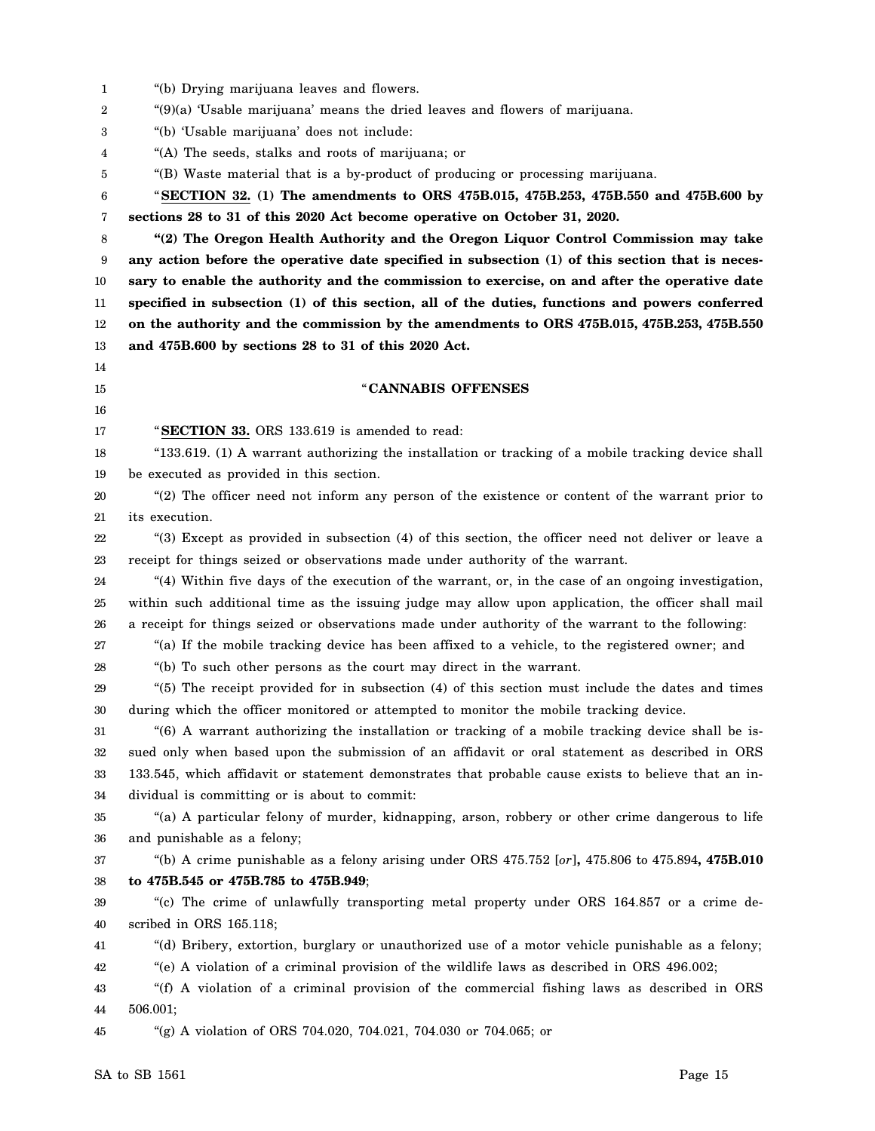1 2 3 4 5 6 7 8 9 10 11 12 13 14 15 16 17 18 19 20 21 22 23 24 25 26 27 28 29 30 31 32 33 34 35 36 37 38 39 40 41 42 43 44 45 "(b) Drying marijuana leaves and flowers. "(9)(a) 'Usable marijuana' means the dried leaves and flowers of marijuana. "(b) 'Usable marijuana' does not include: "(A) The seeds, stalks and roots of marijuana; or "(B) Waste material that is a by-product of producing or processing marijuana. "**SECTION 32. (1) The amendments to ORS 475B.015, 475B.253, 475B.550 and 475B.600 by sections 28 to 31 of this 2020 Act become operative on October 31, 2020. "(2) The Oregon Health Authority and the Oregon Liquor Control Commission may take any action before the operative date specified in subsection (1) of this section that is necessary to enable the authority and the commission to exercise, on and after the operative date specified in subsection (1) of this section, all of the duties, functions and powers conferred on the authority and the commission by the amendments to ORS 475B.015, 475B.253, 475B.550 and 475B.600 by sections 28 to 31 of this 2020 Act.** "**CANNABIS OFFENSES** "**SECTION 33.** ORS 133.619 is amended to read: "133.619. (1) A warrant authorizing the installation or tracking of a mobile tracking device shall be executed as provided in this section. "(2) The officer need not inform any person of the existence or content of the warrant prior to its execution. "(3) Except as provided in subsection (4) of this section, the officer need not deliver or leave a receipt for things seized or observations made under authority of the warrant. "(4) Within five days of the execution of the warrant, or, in the case of an ongoing investigation, within such additional time as the issuing judge may allow upon application, the officer shall mail a receipt for things seized or observations made under authority of the warrant to the following: "(a) If the mobile tracking device has been affixed to a vehicle, to the registered owner; and "(b) To such other persons as the court may direct in the warrant. "(5) The receipt provided for in subsection (4) of this section must include the dates and times during which the officer monitored or attempted to monitor the mobile tracking device. "(6) A warrant authorizing the installation or tracking of a mobile tracking device shall be issued only when based upon the submission of an affidavit or oral statement as described in ORS 133.545, which affidavit or statement demonstrates that probable cause exists to believe that an individual is committing or is about to commit: "(a) A particular felony of murder, kidnapping, arson, robbery or other crime dangerous to life and punishable as a felony; "(b) A crime punishable as a felony arising under ORS 475.752 [*or*]**,** 475.806 to 475.894**, 475B.010 to 475B.545 or 475B.785 to 475B.949**; "(c) The crime of unlawfully transporting metal property under ORS 164.857 or a crime described in ORS 165.118; "(d) Bribery, extortion, burglary or unauthorized use of a motor vehicle punishable as a felony; "(e) A violation of a criminal provision of the wildlife laws as described in ORS 496.002; "(f) A violation of a criminal provision of the commercial fishing laws as described in ORS 506.001; "(g) A violation of ORS 704.020, 704.021, 704.030 or 704.065; or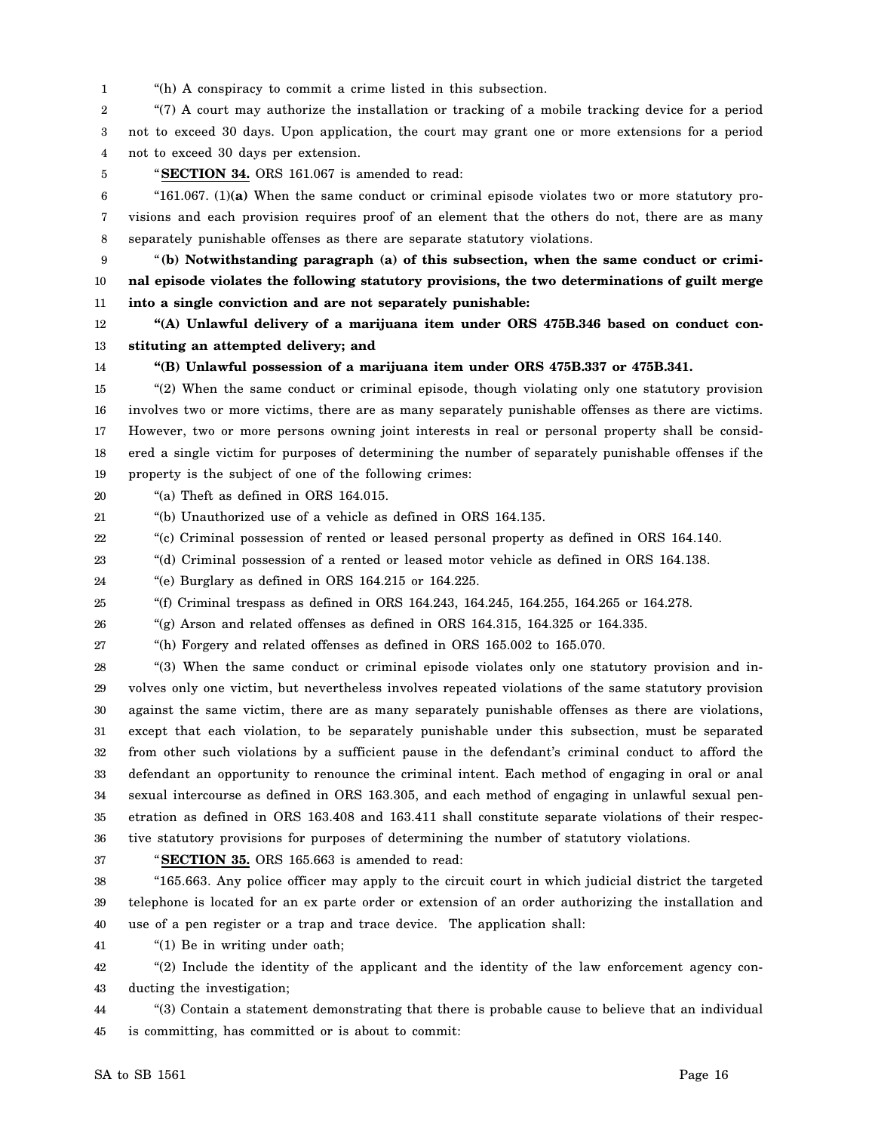1 "(h) A conspiracy to commit a crime listed in this subsection.

2 3 4 "(7) A court may authorize the installation or tracking of a mobile tracking device for a period not to exceed 30 days. Upon application, the court may grant one or more extensions for a period not to exceed 30 days per extension.

5

"**SECTION 34.** ORS 161.067 is amended to read:

6 7 8 "161.067. (1)**(a)** When the same conduct or criminal episode violates two or more statutory provisions and each provision requires proof of an element that the others do not, there are as many separately punishable offenses as there are separate statutory violations.

9 10 11 "**(b) Notwithstanding paragraph (a) of this subsection, when the same conduct or criminal episode violates the following statutory provisions, the two determinations of guilt merge into a single conviction and are not separately punishable:**

12 13 **"(A) Unlawful delivery of a marijuana item under ORS 475B.346 based on conduct constituting an attempted delivery; and**

14

#### **"(B) Unlawful possession of a marijuana item under ORS 475B.337 or 475B.341.**

15 16 17 18 19 "(2) When the same conduct or criminal episode, though violating only one statutory provision involves two or more victims, there are as many separately punishable offenses as there are victims. However, two or more persons owning joint interests in real or personal property shall be considered a single victim for purposes of determining the number of separately punishable offenses if the property is the subject of one of the following crimes:

20 "(a) Theft as defined in ORS 164.015.

21 "(b) Unauthorized use of a vehicle as defined in ORS 164.135.

22 "(c) Criminal possession of rented or leased personal property as defined in ORS 164.140.

23 "(d) Criminal possession of a rented or leased motor vehicle as defined in ORS 164.138.

24 "(e) Burglary as defined in ORS 164.215 or 164.225.

25 "(f) Criminal trespass as defined in ORS 164.243, 164.245, 164.255, 164.265 or 164.278.

26 "(g) Arson and related offenses as defined in ORS 164.315, 164.325 or 164.335.

27 "(h) Forgery and related offenses as defined in ORS 165.002 to 165.070.

28 29 30 31 32 33 34 35 36 "(3) When the same conduct or criminal episode violates only one statutory provision and involves only one victim, but nevertheless involves repeated violations of the same statutory provision against the same victim, there are as many separately punishable offenses as there are violations, except that each violation, to be separately punishable under this subsection, must be separated from other such violations by a sufficient pause in the defendant's criminal conduct to afford the defendant an opportunity to renounce the criminal intent. Each method of engaging in oral or anal sexual intercourse as defined in ORS 163.305, and each method of engaging in unlawful sexual penetration as defined in ORS 163.408 and 163.411 shall constitute separate violations of their respective statutory provisions for purposes of determining the number of statutory violations.

37

"**SECTION 35.** ORS 165.663 is amended to read:

38 39 40 "165.663. Any police officer may apply to the circuit court in which judicial district the targeted telephone is located for an ex parte order or extension of an order authorizing the installation and use of a pen register or a trap and trace device. The application shall:

41 "(1) Be in writing under oath;

42 43 "(2) Include the identity of the applicant and the identity of the law enforcement agency conducting the investigation;

44 45 "(3) Contain a statement demonstrating that there is probable cause to believe that an individual is committing, has committed or is about to commit: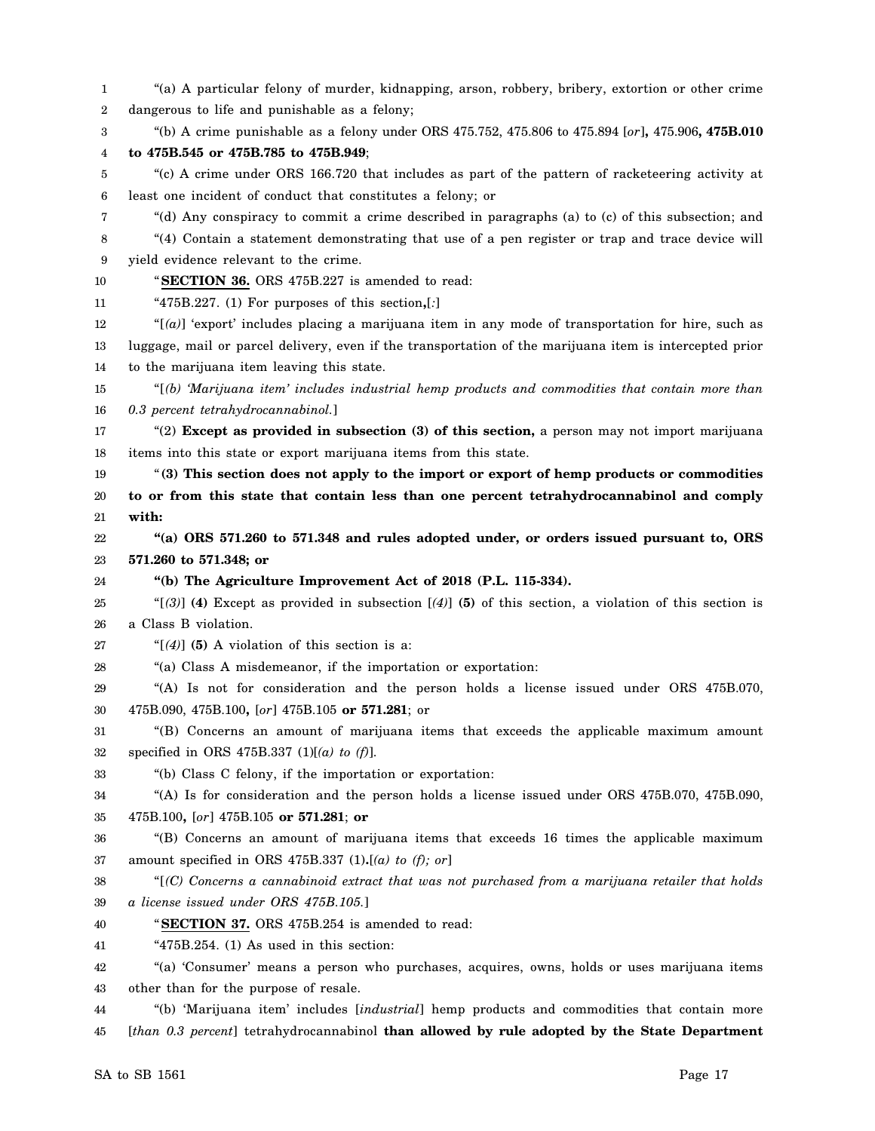1 2 3 4 5 6 7 8 9 10 11 12 13 14 15 16 17 18 19 20 21 22 23 24 25 26 27 28 29 30 31 32 33 34 35 36 37 38 39 40 41 42 43 44 45 "(a) A particular felony of murder, kidnapping, arson, robbery, bribery, extortion or other crime dangerous to life and punishable as a felony; "(b) A crime punishable as a felony under ORS 475.752, 475.806 to 475.894 [*or*]**,** 475.906**, 475B.010 to 475B.545 or 475B.785 to 475B.949**; "(c) A crime under ORS 166.720 that includes as part of the pattern of racketeering activity at least one incident of conduct that constitutes a felony; or "(d) Any conspiracy to commit a crime described in paragraphs (a) to (c) of this subsection; and "(4) Contain a statement demonstrating that use of a pen register or trap and trace device will yield evidence relevant to the crime. "**SECTION 36.** ORS 475B.227 is amended to read: "475B.227. (1) For purposes of this section**,**[*:*] "[*(a)*] 'export' includes placing a marijuana item in any mode of transportation for hire, such as luggage, mail or parcel delivery, even if the transportation of the marijuana item is intercepted prior to the marijuana item leaving this state. "[*(b) 'Marijuana item' includes industrial hemp products and commodities that contain more than 0.3 percent tetrahydrocannabinol.*] "(2) **Except as provided in subsection (3) of this section,** a person may not import marijuana items into this state or export marijuana items from this state. "**(3) This section does not apply to the import or export of hemp products or commodities to or from this state that contain less than one percent tetrahydrocannabinol and comply with: "(a) ORS 571.260 to 571.348 and rules adopted under, or orders issued pursuant to, ORS 571.260 to 571.348; or "(b) The Agriculture Improvement Act of 2018 (P.L. 115-334).** "[*(3)*] **(4)** Except as provided in subsection [*(4)*] **(5)** of this section, a violation of this section is a Class B violation. " $[$ (4)] (5) A violation of this section is a: "(a) Class A misdemeanor, if the importation or exportation: "(A) Is not for consideration and the person holds a license issued under ORS 475B.070, 475B.090, 475B.100**,** [*or*] 475B.105 **or 571.281**; or "(B) Concerns an amount of marijuana items that exceeds the applicable maximum amount specified in ORS 475B.337 (1)[*(a) to (f)*]. "(b) Class C felony, if the importation or exportation: "(A) Is for consideration and the person holds a license issued under ORS 475B.070, 475B.090, 475B.100**,** [*or*] 475B.105 **or 571.281**; **or** "(B) Concerns an amount of marijuana items that exceeds 16 times the applicable maximum amount specified in ORS 475B.337 (1)**.**[*(a) to (f); or*] "[*(C) Concerns a cannabinoid extract that was not purchased from a marijuana retailer that holds a license issued under ORS 475B.105.*] "**SECTION 37.** ORS 475B.254 is amended to read: " $475B.254$ . (1) As used in this section: "(a) 'Consumer' means a person who purchases, acquires, owns, holds or uses marijuana items other than for the purpose of resale. "(b) 'Marijuana item' includes [*industrial*] hemp products and commodities that contain more [*than 0.3 percent*] tetrahydrocannabinol **than allowed by rule adopted by the State Department**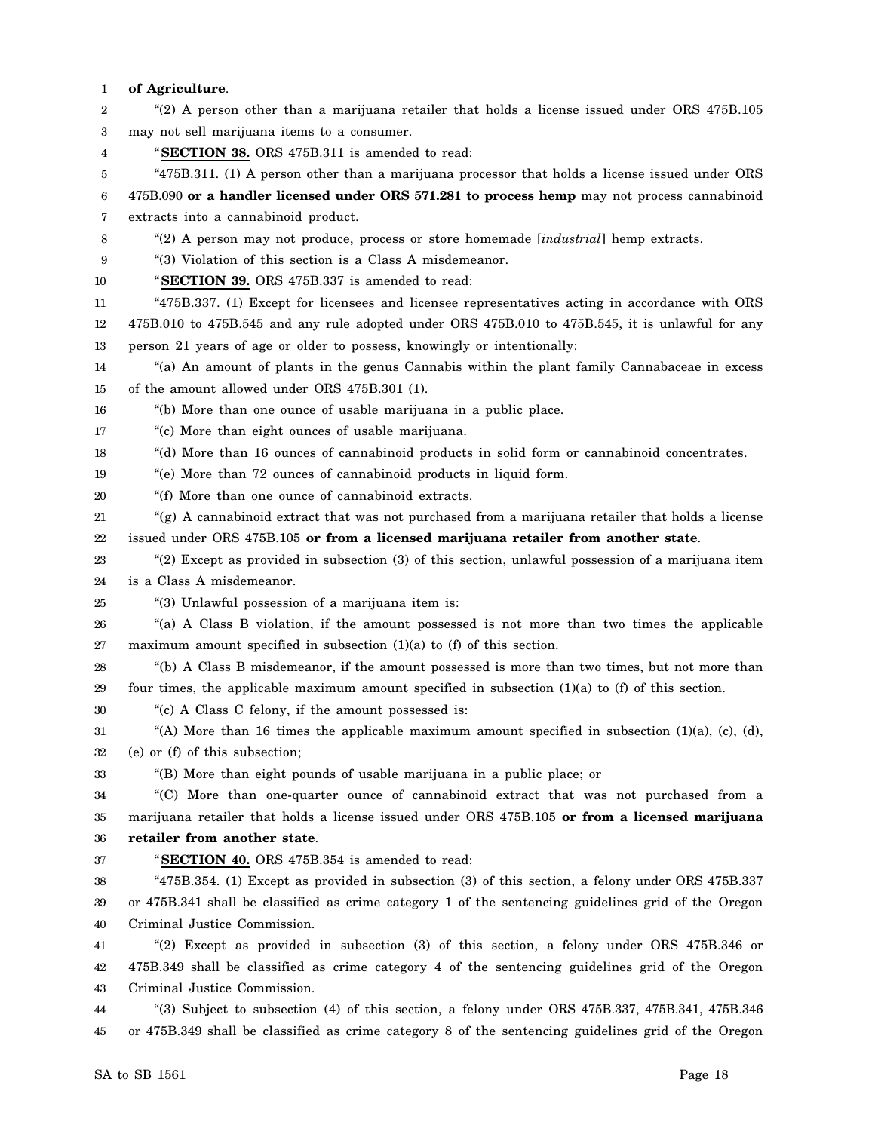#### 1 **of Agriculture**.

| 2  | "(2) A person other than a marijuana retailer that holds a license issued under ORS 475B.105             |
|----|----------------------------------------------------------------------------------------------------------|
| 3  | may not sell marijuana items to a consumer.                                                              |
| 4  | "SECTION 38. ORS 475B.311 is amended to read:                                                            |
| 5  | "475B.311. (1) A person other than a marijuana processor that holds a license issued under ORS           |
| 6  | 475B.090 or a handler licensed under ORS 571.281 to process hemp may not process cannabinoid             |
| 7  | extracts into a cannabinoid product.                                                                     |
| 8  | "(2) A person may not produce, process or store homemade [industrial] hemp extracts.                     |
| 9  | "(3) Violation of this section is a Class A misdemeanor.                                                 |
| 10 | "SECTION 39. ORS 475B.337 is amended to read:                                                            |
| 11 | "475B.337. (1) Except for licensees and licensee representatives acting in accordance with ORS           |
| 12 | 475B.010 to 475B.545 and any rule adopted under ORS 475B.010 to 475B.545, it is unlawful for any         |
| 13 | person 21 years of age or older to possess, knowingly or intentionally:                                  |
| 14 | "(a) An amount of plants in the genus Cannabis within the plant family Cannabaceae in excess             |
| 15 | of the amount allowed under ORS 475B.301 (1).                                                            |
| 16 | "(b) More than one ounce of usable marijuana in a public place.                                          |
| 17 | "(c) More than eight ounces of usable marijuana.                                                         |
| 18 | "(d) More than 16 ounces of cannabinoid products in solid form or cannabinoid concentrates.              |
| 19 | "(e) More than 72 ounces of cannabinoid products in liquid form.                                         |
| 20 | "(f) More than one ounce of cannabinoid extracts.                                                        |
| 21 | " $(g)$ A cannabinoid extract that was not purchased from a marijuana retailer that holds a license      |
| 22 | issued under ORS 475B.105 or from a licensed marijuana retailer from another state.                      |
| 23 | "(2) Except as provided in subsection (3) of this section, unlawful possession of a marijuana item       |
| 24 | is a Class A misdemeanor.                                                                                |
| 25 | "(3) Unlawful possession of a marijuana item is:                                                         |
| 26 | "(a) A Class B violation, if the amount possessed is not more than two times the applicable              |
| 27 | maximum amount specified in subsection $(1)(a)$ to $(f)$ of this section.                                |
| 28 | "(b) A Class B misdemeanor, if the amount possessed is more than two times, but not more than            |
| 29 | four times, the applicable maximum amount specified in subsection $(1)(a)$ to $(f)$ of this section.     |
| 30 | "(c) A Class C felony, if the amount possessed is:                                                       |
| 31 | "(A) More than 16 times the applicable maximum amount specified in subsection $(1)(a)$ , $(c)$ , $(d)$ , |
| 32 | (e) or (f) of this subsection;                                                                           |
| 33 | "(B) More than eight pounds of usable marijuana in a public place; or                                    |
| 34 | "(C) More than one-quarter ounce of cannabinoid extract that was not purchased from a                    |
| 35 | marijuana retailer that holds a license issued under ORS 475B.105 or from a licensed marijuana           |
| 36 | retailer from another state.                                                                             |
| 37 | "SECTION 40. ORS 475B.354 is amended to read:                                                            |
| 38 | "475B.354. (1) Except as provided in subsection (3) of this section, a felony under ORS 475B.337         |
| 39 | or 475B.341 shall be classified as crime category 1 of the sentencing guidelines grid of the Oregon      |
| 40 | Criminal Justice Commission.                                                                             |
| 41 | "(2) Except as provided in subsection (3) of this section, a felony under ORS 475B.346 or                |
| 42 | 475B.349 shall be classified as crime category 4 of the sentencing guidelines grid of the Oregon         |
| 43 | Criminal Justice Commission.                                                                             |
| 44 | "(3) Subject to subsection (4) of this section, a felony under ORS 475B.337, 475B.341, 475B.346          |
| 45 | or 475B.349 shall be classified as crime category 8 of the sentencing guidelines grid of the Oregon      |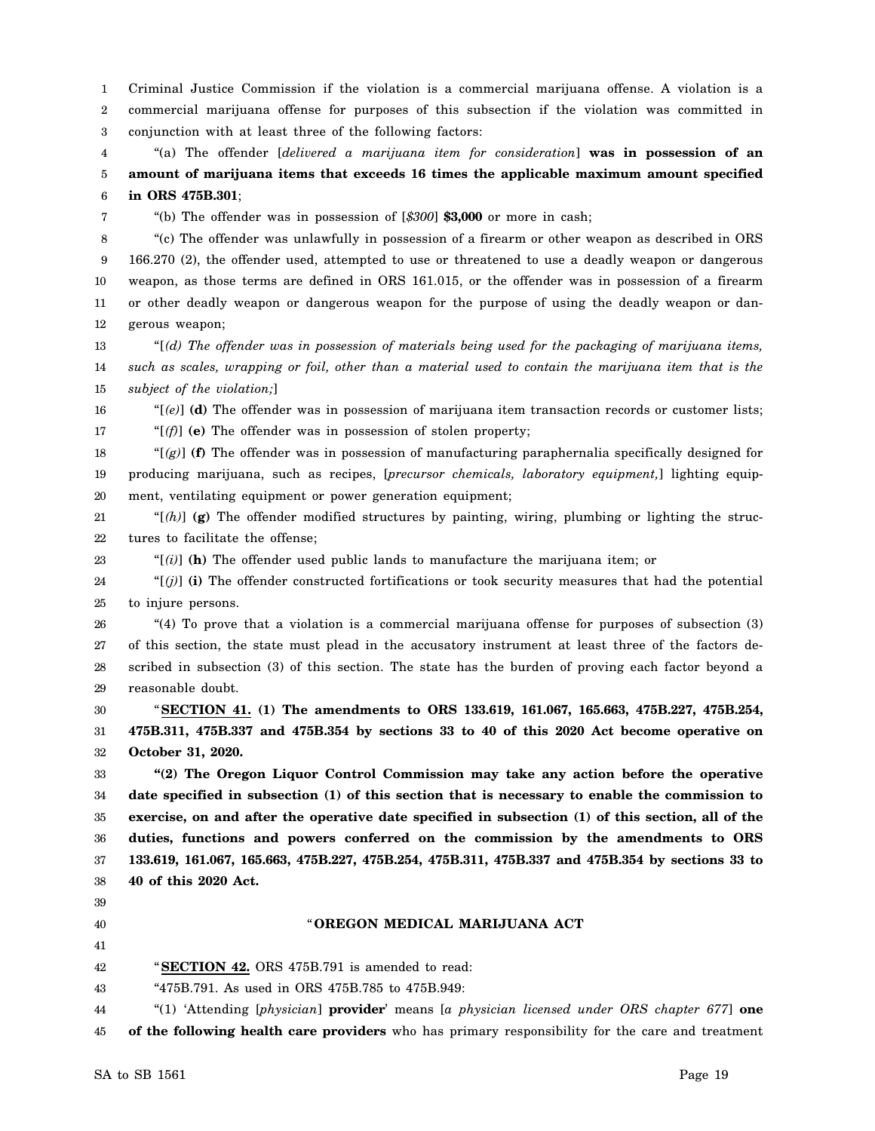1 2 3 Criminal Justice Commission if the violation is a commercial marijuana offense. A violation is a commercial marijuana offense for purposes of this subsection if the violation was committed in conjunction with at least three of the following factors:

4 5 6 "(a) The offender [*delivered a marijuana item for consideration*] **was in possession of an amount of marijuana items that exceeds 16 times the applicable maximum amount specified in ORS 475B.301**;

"(b) The offender was in possession of [*\$300*] **\$3,000** or more in cash;

8 9 10 11 12 "(c) The offender was unlawfully in possession of a firearm or other weapon as described in ORS 166.270 (2), the offender used, attempted to use or threatened to use a deadly weapon or dangerous weapon, as those terms are defined in ORS 161.015, or the offender was in possession of a firearm or other deadly weapon or dangerous weapon for the purpose of using the deadly weapon or dangerous weapon;

13 14 15 "[*(d) The offender was in possession of materials being used for the packaging of marijuana items, such as scales, wrapping or foil, other than a material used to contain the marijuana item that is the subject of the violation;*]

16 17 "[*(e)*] **(d)** The offender was in possession of marijuana item transaction records or customer lists; "[*(f)*] **(e)** The offender was in possession of stolen property;

18 19 20 " $(g)$ ] **(f)** The offender was in possession of manufacturing paraphernalia specifically designed for producing marijuana, such as recipes, [*precursor chemicals, laboratory equipment,*] lighting equipment, ventilating equipment or power generation equipment;

21 22 " $[(h)]$  (g) The offender modified structures by painting, wiring, plumbing or lighting the structures to facilitate the offense;

23  $\mathcal{L}[i]$  (h) The offender used public lands to manufacture the marijuana item; or

24 25 " $[$ (*j*)] (**i**) The offender constructed fortifications or took security measures that had the potential to injure persons.

26 27 28 29 "(4) To prove that a violation is a commercial marijuana offense for purposes of subsection (3) of this section, the state must plead in the accusatory instrument at least three of the factors described in subsection (3) of this section. The state has the burden of proving each factor beyond a reasonable doubt.

30 31 32 "**SECTION 41. (1) The amendments to ORS 133.619, 161.067, 165.663, 475B.227, 475B.254, 475B.311, 475B.337 and 475B.354 by sections 33 to 40 of this 2020 Act become operative on October 31, 2020.**

33 34 35 36 37 38 **"(2) The Oregon Liquor Control Commission may take any action before the operative date specified in subsection (1) of this section that is necessary to enable the commission to exercise, on and after the operative date specified in subsection (1) of this section, all of the duties, functions and powers conferred on the commission by the amendments to ORS 133.619, 161.067, 165.663, 475B.227, 475B.254, 475B.311, 475B.337 and 475B.354 by sections 33 to 40 of this 2020 Act.**

39

7

40

## " **OREGON MEDICAL MARIJUANA ACT**

41 42

"**SECTION 42.** ORS 475B.791 is amended to read:

43 "475B.791. As used in ORS 475B.785 to 475B.949:

44 45 "(1) 'Attending [*physician*] **provider**' means [*a physician licensed under ORS chapter 677*] **one of the following health care providers** who has primary responsibility for the care and treatment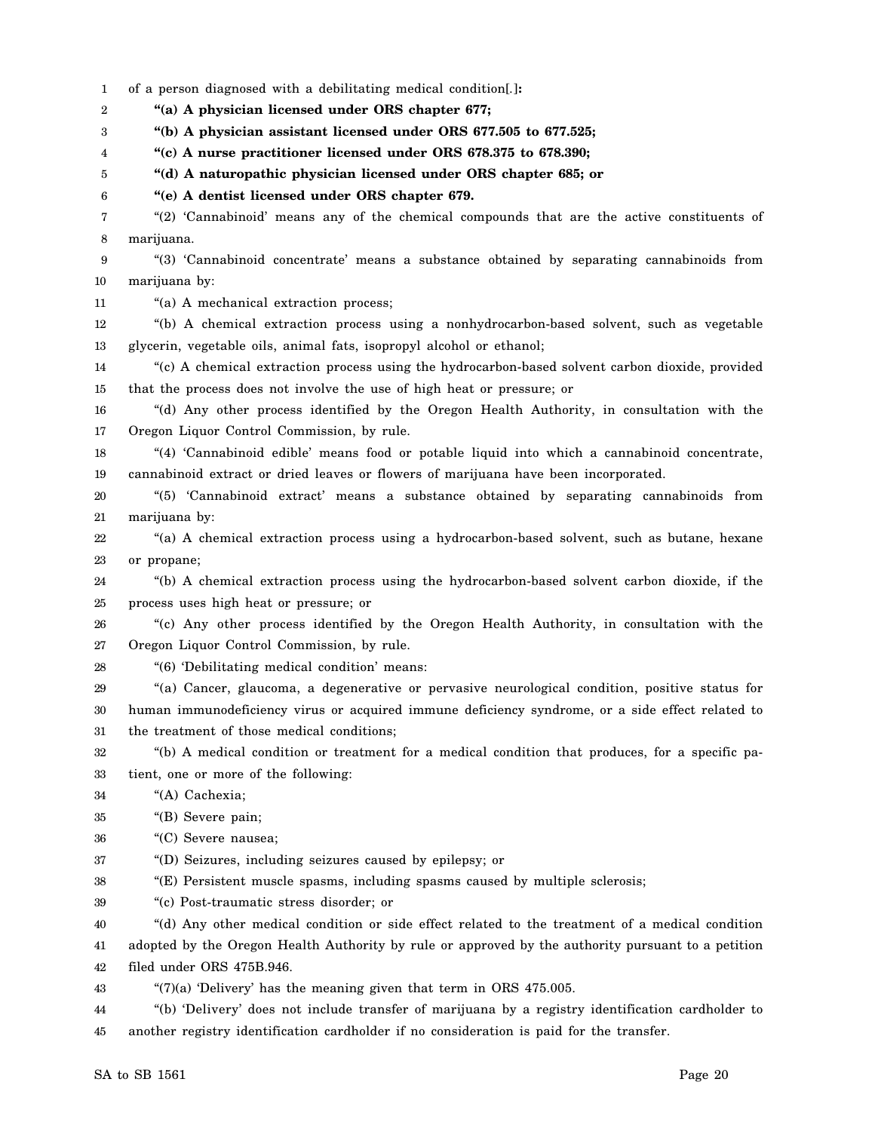1 2 3 4 5 6 7 8 9 10 11 12 13 14 15 16 17 18 19 20 21 22 23 24 25 26 27 28 29 30 31 32 33 34 35 36 37 38 39 40 41 42 43 44 45 of a person diagnosed with a debilitating medical condition[*.*]**: "(a) A physician licensed under ORS chapter 677; "(b) A physician assistant licensed under ORS 677.505 to 677.525; "(c) A nurse practitioner licensed under ORS 678.375 to 678.390; "(d) A naturopathic physician licensed under ORS chapter 685; or "(e) A dentist licensed under ORS chapter 679.** "(2) 'Cannabinoid' means any of the chemical compounds that are the active constituents of marijuana. "(3) 'Cannabinoid concentrate' means a substance obtained by separating cannabinoids from marijuana by: "(a) A mechanical extraction process; "(b) A chemical extraction process using a nonhydrocarbon-based solvent, such as vegetable glycerin, vegetable oils, animal fats, isopropyl alcohol or ethanol; "(c) A chemical extraction process using the hydrocarbon-based solvent carbon dioxide, provided that the process does not involve the use of high heat or pressure; or "(d) Any other process identified by the Oregon Health Authority, in consultation with the Oregon Liquor Control Commission, by rule. "(4) 'Cannabinoid edible' means food or potable liquid into which a cannabinoid concentrate, cannabinoid extract or dried leaves or flowers of marijuana have been incorporated. "(5) 'Cannabinoid extract' means a substance obtained by separating cannabinoids from marijuana by: "(a) A chemical extraction process using a hydrocarbon-based solvent, such as butane, hexane or propane; "(b) A chemical extraction process using the hydrocarbon-based solvent carbon dioxide, if the process uses high heat or pressure; or "(c) Any other process identified by the Oregon Health Authority, in consultation with the Oregon Liquor Control Commission, by rule. "(6) 'Debilitating medical condition' means: "(a) Cancer, glaucoma, a degenerative or pervasive neurological condition, positive status for human immunodeficiency virus or acquired immune deficiency syndrome, or a side effect related to the treatment of those medical conditions; "(b) A medical condition or treatment for a medical condition that produces, for a specific patient, one or more of the following: "(A) Cachexia; "(B) Severe pain; "(C) Severe nausea; "(D) Seizures, including seizures caused by epilepsy; or "(E) Persistent muscle spasms, including spasms caused by multiple sclerosis; "(c) Post-traumatic stress disorder; or "(d) Any other medical condition or side effect related to the treatment of a medical condition adopted by the Oregon Health Authority by rule or approved by the authority pursuant to a petition filed under ORS 475B.946. "(7)(a) 'Delivery' has the meaning given that term in ORS 475.005. "(b) 'Delivery' does not include transfer of marijuana by a registry identification cardholder to another registry identification cardholder if no consideration is paid for the transfer.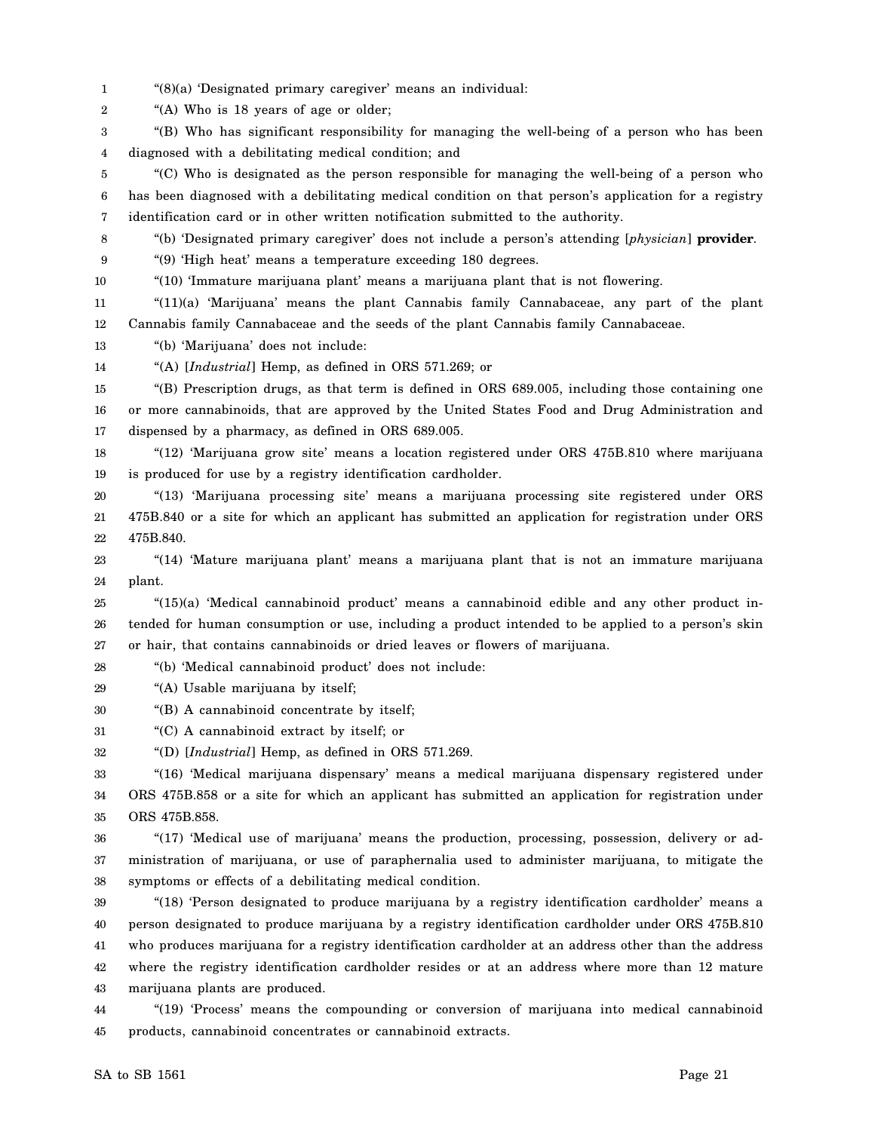1 "(8)(a) 'Designated primary caregiver' means an individual:

2 "(A) Who is 18 years of age or older;

3 4 "(B) Who has significant responsibility for managing the well-being of a person who has been diagnosed with a debilitating medical condition; and

5 6 7 "(C) Who is designated as the person responsible for managing the well-being of a person who has been diagnosed with a debilitating medical condition on that person's application for a registry identification card or in other written notification submitted to the authority.

8 "(b) 'Designated primary caregiver' does not include a person's attending [*physician*] **provider**.

9 "(9) 'High heat' means a temperature exceeding 180 degrees.

10

"(10) 'Immature marijuana plant' means a marijuana plant that is not flowering.

11 12 "(11)(a) 'Marijuana' means the plant Cannabis family Cannabaceae, any part of the plant Cannabis family Cannabaceae and the seeds of the plant Cannabis family Cannabaceae.

13 "(b) 'Marijuana' does not include:

14 "(A) [*Industrial*] Hemp, as defined in ORS 571.269; or

15 16 17 "(B) Prescription drugs, as that term is defined in ORS 689.005, including those containing one or more cannabinoids, that are approved by the United States Food and Drug Administration and dispensed by a pharmacy, as defined in ORS 689.005.

18 19 "(12) 'Marijuana grow site' means a location registered under ORS 475B.810 where marijuana is produced for use by a registry identification cardholder.

20 21 22 "(13) 'Marijuana processing site' means a marijuana processing site registered under ORS 475B.840 or a site for which an applicant has submitted an application for registration under ORS 475B.840.

23 24 "(14) 'Mature marijuana plant' means a marijuana plant that is not an immature marijuana plant.

25 26 27 "(15)(a) 'Medical cannabinoid product' means a cannabinoid edible and any other product intended for human consumption or use, including a product intended to be applied to a person's skin or hair, that contains cannabinoids or dried leaves or flowers of marijuana.

28 "(b) 'Medical cannabinoid product' does not include:

29 "(A) Usable marijuana by itself;

30 "(B) A cannabinoid concentrate by itself;

31 "(C) A cannabinoid extract by itself; or

32 "(D) [*Industrial*] Hemp, as defined in ORS 571.269.

33 34 35 "(16) 'Medical marijuana dispensary' means a medical marijuana dispensary registered under ORS 475B.858 or a site for which an applicant has submitted an application for registration under ORS 475B.858.

36 37 38 "(17) 'Medical use of marijuana' means the production, processing, possession, delivery or administration of marijuana, or use of paraphernalia used to administer marijuana, to mitigate the symptoms or effects of a debilitating medical condition.

39 40 41 42 43 "(18) 'Person designated to produce marijuana by a registry identification cardholder' means a person designated to produce marijuana by a registry identification cardholder under ORS 475B.810 who produces marijuana for a registry identification cardholder at an address other than the address where the registry identification cardholder resides or at an address where more than 12 mature marijuana plants are produced.

44 45 "(19) 'Process' means the compounding or conversion of marijuana into medical cannabinoid products, cannabinoid concentrates or cannabinoid extracts.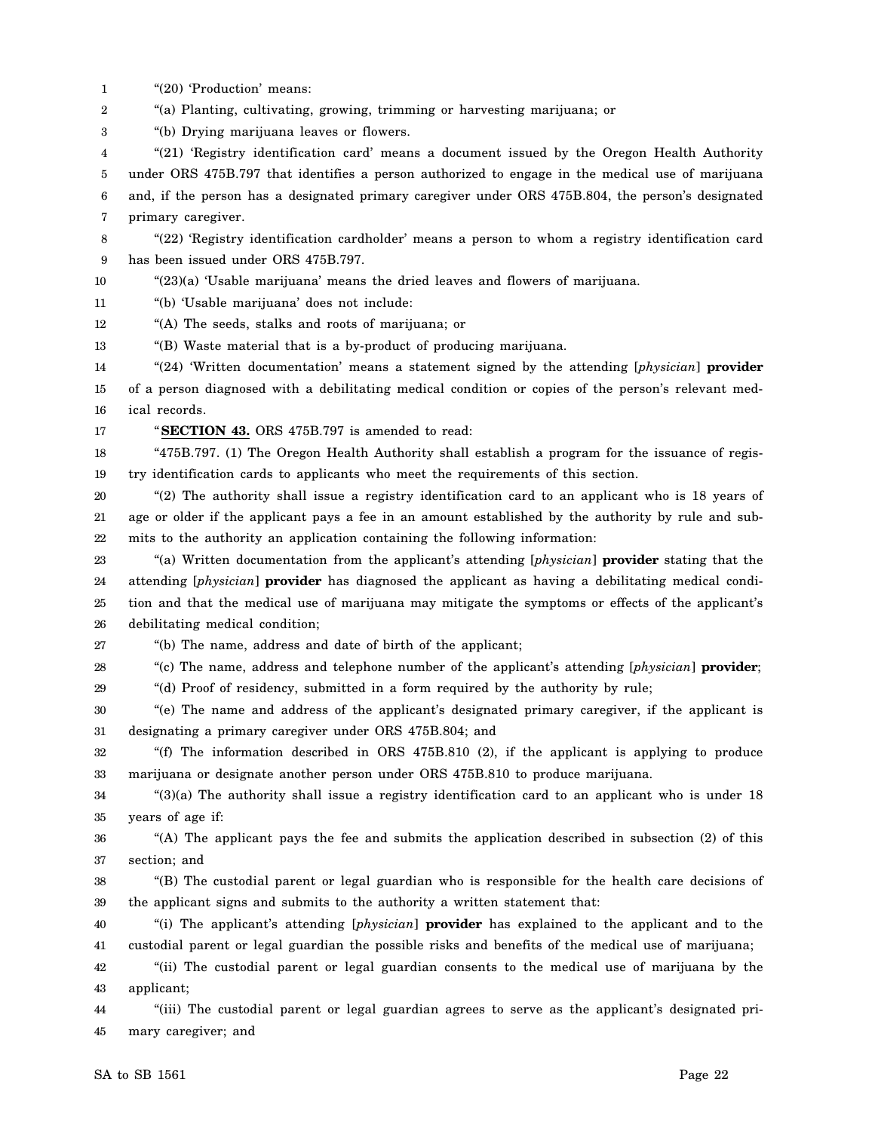- 1 "(20) 'Production' means:
- 2 "(a) Planting, cultivating, growing, trimming or harvesting marijuana; or
- 3 "(b) Drying marijuana leaves or flowers.

4 5 6 7 "(21) 'Registry identification card' means a document issued by the Oregon Health Authority under ORS 475B.797 that identifies a person authorized to engage in the medical use of marijuana and, if the person has a designated primary caregiver under ORS 475B.804, the person's designated primary caregiver.

- 8 9 "(22) 'Registry identification cardholder' means a person to whom a registry identification card has been issued under ORS 475B.797.
- 10 "(23)(a) 'Usable marijuana' means the dried leaves and flowers of marijuana.

11 "(b) 'Usable marijuana' does not include:

12 "(A) The seeds, stalks and roots of marijuana; or

13 "(B) Waste material that is a by-product of producing marijuana.

14 15 "(24) 'Written documentation' means a statement signed by the attending [*physician*] **provider** of a person diagnosed with a debilitating medical condition or copies of the person's relevant med-

16 ical records.

17

"**SECTION 43.** ORS 475B.797 is amended to read:

18 19 "475B.797. (1) The Oregon Health Authority shall establish a program for the issuance of registry identification cards to applicants who meet the requirements of this section.

20 21 22 "(2) The authority shall issue a registry identification card to an applicant who is 18 years of age or older if the applicant pays a fee in an amount established by the authority by rule and submits to the authority an application containing the following information:

23 24 25 26 "(a) Written documentation from the applicant's attending [*physician*] **provider** stating that the attending [*physician*] **provider** has diagnosed the applicant as having a debilitating medical condition and that the medical use of marijuana may mitigate the symptoms or effects of the applicant's debilitating medical condition;

27

"(b) The name, address and date of birth of the applicant;

28 "(c) The name, address and telephone number of the applicant's attending [*physician*] **provider**;

29 "(d) Proof of residency, submitted in a form required by the authority by rule;

30 31 "(e) The name and address of the applicant's designated primary caregiver, if the applicant is designating a primary caregiver under ORS 475B.804; and

32 33 "(f) The information described in ORS 475B.810 (2), if the applicant is applying to produce marijuana or designate another person under ORS 475B.810 to produce marijuana.

34 35 "(3)(a) The authority shall issue a registry identification card to an applicant who is under 18 years of age if:

36 37 "(A) The applicant pays the fee and submits the application described in subsection (2) of this section; and

38 39 "(B) The custodial parent or legal guardian who is responsible for the health care decisions of the applicant signs and submits to the authority a written statement that:

40 41 "(i) The applicant's attending [*physician*] **provider** has explained to the applicant and to the custodial parent or legal guardian the possible risks and benefits of the medical use of marijuana;

42 43 "(ii) The custodial parent or legal guardian consents to the medical use of marijuana by the applicant;

44 45 "(iii) The custodial parent or legal guardian agrees to serve as the applicant's designated primary caregiver; and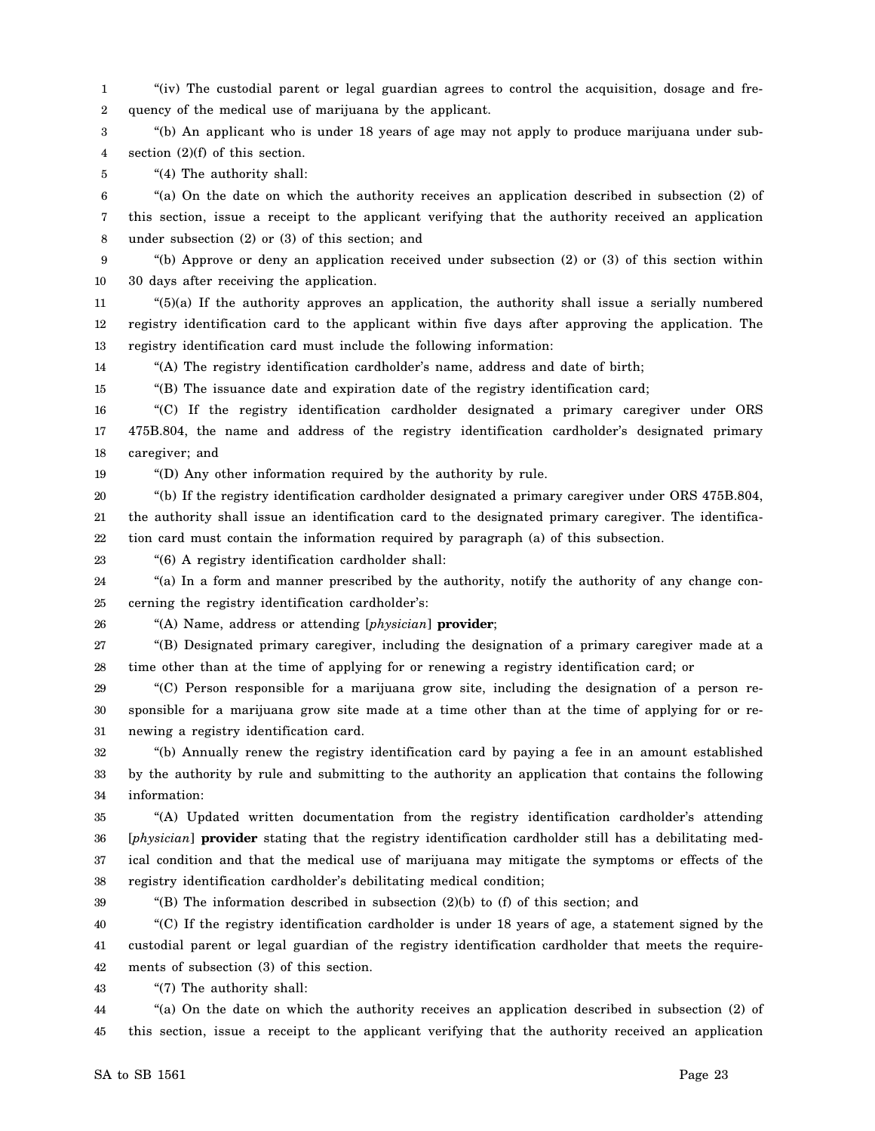1 2 "(iv) The custodial parent or legal guardian agrees to control the acquisition, dosage and frequency of the medical use of marijuana by the applicant.

3 4 "(b) An applicant who is under 18 years of age may not apply to produce marijuana under subsection  $(2)(f)$  of this section.

5 "(4) The authority shall:

6 7 8 "(a) On the date on which the authority receives an application described in subsection (2) of this section, issue a receipt to the applicant verifying that the authority received an application under subsection (2) or (3) of this section; and

9 10 "(b) Approve or deny an application received under subsection (2) or (3) of this section within 30 days after receiving the application.

11 12 13 "(5)(a) If the authority approves an application, the authority shall issue a serially numbered registry identification card to the applicant within five days after approving the application. The registry identification card must include the following information:

14 "(A) The registry identification cardholder's name, address and date of birth;

15 "(B) The issuance date and expiration date of the registry identification card;

16 17 18 "(C) If the registry identification cardholder designated a primary caregiver under ORS 475B.804, the name and address of the registry identification cardholder's designated primary caregiver; and

"(D) Any other information required by the authority by rule.

20 21 22 "(b) If the registry identification cardholder designated a primary caregiver under ORS 475B.804, the authority shall issue an identification card to the designated primary caregiver. The identification card must contain the information required by paragraph (a) of this subsection.

23 "(6) A registry identification cardholder shall:

24 25 "(a) In a form and manner prescribed by the authority, notify the authority of any change concerning the registry identification cardholder's:

26

19

"(A) Name, address or attending [*physician*] **provider**;

27 28 "(B) Designated primary caregiver, including the designation of a primary caregiver made at a time other than at the time of applying for or renewing a registry identification card; or

29 30 31 "(C) Person responsible for a marijuana grow site, including the designation of a person responsible for a marijuana grow site made at a time other than at the time of applying for or renewing a registry identification card.

32 33 34 "(b) Annually renew the registry identification card by paying a fee in an amount established by the authority by rule and submitting to the authority an application that contains the following information:

35 36 37 38 "(A) Updated written documentation from the registry identification cardholder's attending [*physician*] **provider** stating that the registry identification cardholder still has a debilitating medical condition and that the medical use of marijuana may mitigate the symptoms or effects of the registry identification cardholder's debilitating medical condition;

39

"(B) The information described in subsection (2)(b) to (f) of this section; and

40 41 42 "(C) If the registry identification cardholder is under 18 years of age, a statement signed by the custodial parent or legal guardian of the registry identification cardholder that meets the requirements of subsection (3) of this section.

43 "(7) The authority shall:

44 45 "(a) On the date on which the authority receives an application described in subsection (2) of this section, issue a receipt to the applicant verifying that the authority received an application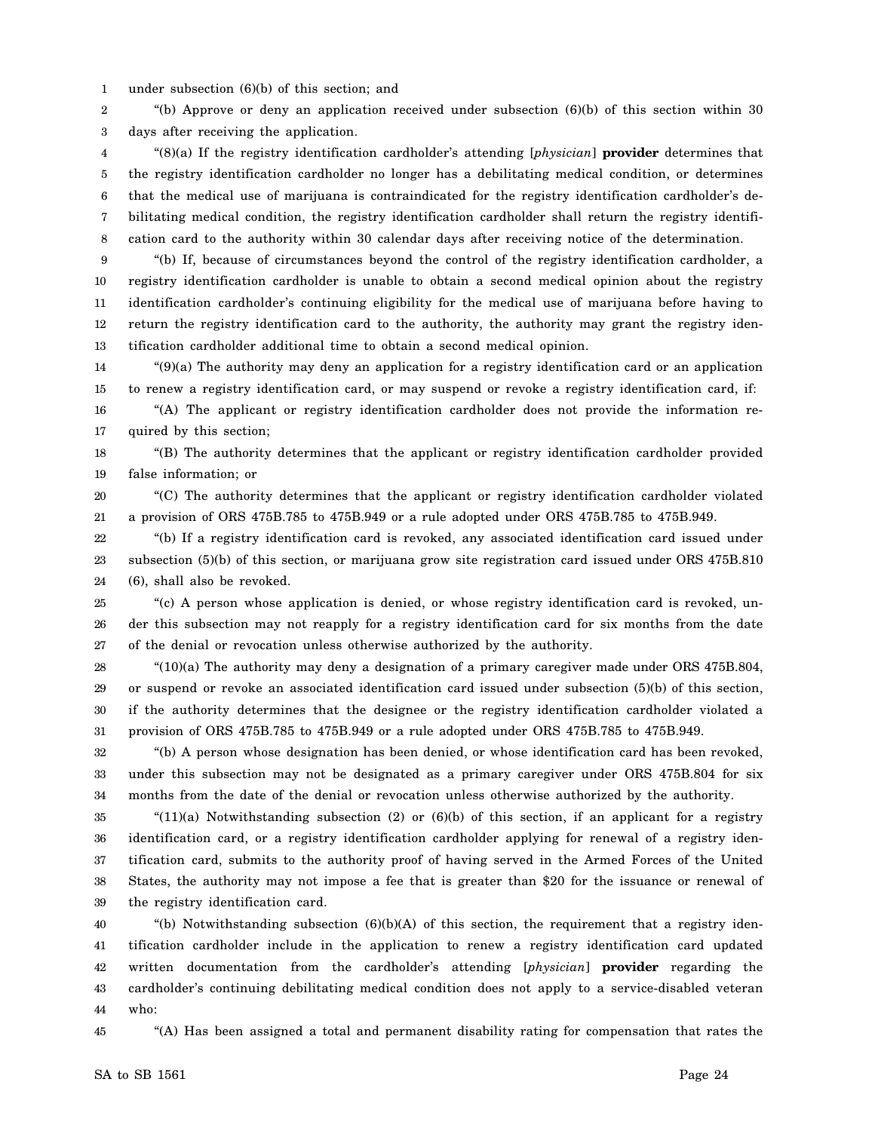1 under subsection (6)(b) of this section; and

2 3 "(b) Approve or deny an application received under subsection  $(6)(b)$  of this section within 30 days after receiving the application.

4 5 6 7 8 "(8)(a) If the registry identification cardholder's attending [*physician*] **provider** determines that the registry identification cardholder no longer has a debilitating medical condition, or determines that the medical use of marijuana is contraindicated for the registry identification cardholder's debilitating medical condition, the registry identification cardholder shall return the registry identification card to the authority within 30 calendar days after receiving notice of the determination.

9 10 11 12 13 "(b) If, because of circumstances beyond the control of the registry identification cardholder, a registry identification cardholder is unable to obtain a second medical opinion about the registry identification cardholder's continuing eligibility for the medical use of marijuana before having to return the registry identification card to the authority, the authority may grant the registry identification cardholder additional time to obtain a second medical opinion.

14 15 "(9)(a) The authority may deny an application for a registry identification card or an application to renew a registry identification card, or may suspend or revoke a registry identification card, if:

16 17 "(A) The applicant or registry identification cardholder does not provide the information required by this section;

18 19 "(B) The authority determines that the applicant or registry identification cardholder provided false information; or

20 21 "(C) The authority determines that the applicant or registry identification cardholder violated a provision of ORS 475B.785 to 475B.949 or a rule adopted under ORS 475B.785 to 475B.949.

22 23 24 "(b) If a registry identification card is revoked, any associated identification card issued under subsection (5)(b) of this section, or marijuana grow site registration card issued under ORS 475B.810 (6), shall also be revoked.

25 26 27 "(c) A person whose application is denied, or whose registry identification card is revoked, under this subsection may not reapply for a registry identification card for six months from the date of the denial or revocation unless otherwise authorized by the authority.

28 29 30 31 "(10)(a) The authority may deny a designation of a primary caregiver made under ORS 475B.804, or suspend or revoke an associated identification card issued under subsection (5)(b) of this section, if the authority determines that the designee or the registry identification cardholder violated a provision of ORS 475B.785 to 475B.949 or a rule adopted under ORS 475B.785 to 475B.949.

32 33 34 "(b) A person whose designation has been denied, or whose identification card has been revoked, under this subsection may not be designated as a primary caregiver under ORS 475B.804 for six months from the date of the denial or revocation unless otherwise authorized by the authority.

35 36 37 38 39 " $(11)(a)$  Notwithstanding subsection (2) or  $(6)(b)$  of this section, if an applicant for a registry identification card, or a registry identification cardholder applying for renewal of a registry identification card, submits to the authority proof of having served in the Armed Forces of the United States, the authority may not impose a fee that is greater than \$20 for the issuance or renewal of the registry identification card.

40 41 42 43 44 "(b) Notwithstanding subsection  $(6)(b)(A)$  of this section, the requirement that a registry identification cardholder include in the application to renew a registry identification card updated written documentation from the cardholder's attending [*physician*] **provider** regarding the cardholder's continuing debilitating medical condition does not apply to a service-disabled veteran who:

45

"(A) Has been assigned a total and permanent disability rating for compensation that rates the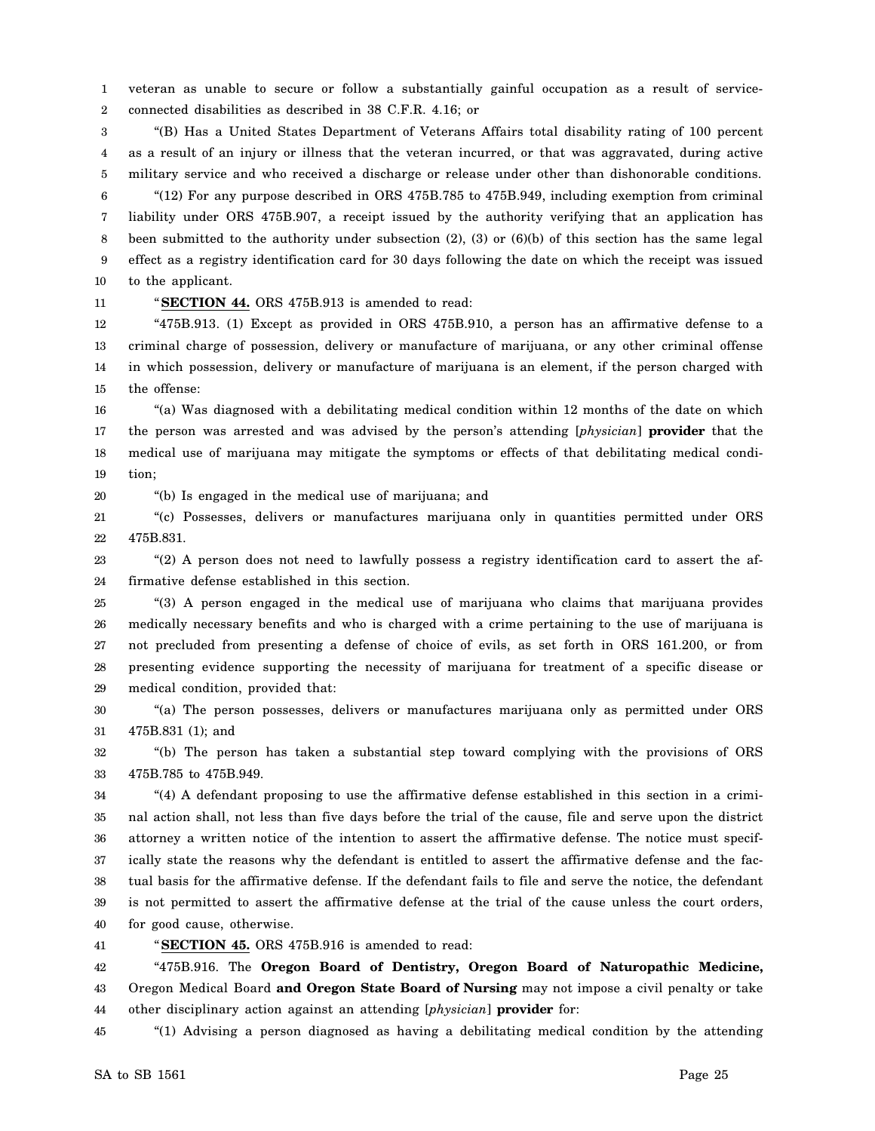1 2 veteran as unable to secure or follow a substantially gainful occupation as a result of serviceconnected disabilities as described in 38 C.F.R. 4.16; or

3 4 5 "(B) Has a United States Department of Veterans Affairs total disability rating of 100 percent as a result of an injury or illness that the veteran incurred, or that was aggravated, during active military service and who received a discharge or release under other than dishonorable conditions.

6 7 8 9 10 "(12) For any purpose described in ORS 475B.785 to 475B.949, including exemption from criminal liability under ORS 475B.907, a receipt issued by the authority verifying that an application has been submitted to the authority under subsection (2), (3) or (6)(b) of this section has the same legal effect as a registry identification card for 30 days following the date on which the receipt was issued to the applicant.

11

"**SECTION 44.** ORS 475B.913 is amended to read:

12 13 14 15 "475B.913. (1) Except as provided in ORS 475B.910, a person has an affirmative defense to a criminal charge of possession, delivery or manufacture of marijuana, or any other criminal offense in which possession, delivery or manufacture of marijuana is an element, if the person charged with the offense:

16 17 18 19 "(a) Was diagnosed with a debilitating medical condition within 12 months of the date on which the person was arrested and was advised by the person's attending [*physician*] **provider** that the medical use of marijuana may mitigate the symptoms or effects of that debilitating medical condition;

20

"(b) Is engaged in the medical use of marijuana; and

21 22 "(c) Possesses, delivers or manufactures marijuana only in quantities permitted under ORS 475B.831.

23 24 "(2) A person does not need to lawfully possess a registry identification card to assert the affirmative defense established in this section.

25 26 27 28 29 "(3) A person engaged in the medical use of marijuana who claims that marijuana provides medically necessary benefits and who is charged with a crime pertaining to the use of marijuana is not precluded from presenting a defense of choice of evils, as set forth in ORS 161.200, or from presenting evidence supporting the necessity of marijuana for treatment of a specific disease or medical condition, provided that:

30 31 "(a) The person possesses, delivers or manufactures marijuana only as permitted under ORS 475B.831 (1); and

32 33 "(b) The person has taken a substantial step toward complying with the provisions of ORS 475B.785 to 475B.949.

34 35 36 37 38 39 40 "(4) A defendant proposing to use the affirmative defense established in this section in a criminal action shall, not less than five days before the trial of the cause, file and serve upon the district attorney a written notice of the intention to assert the affirmative defense. The notice must specifically state the reasons why the defendant is entitled to assert the affirmative defense and the factual basis for the affirmative defense. If the defendant fails to file and serve the notice, the defendant is not permitted to assert the affirmative defense at the trial of the cause unless the court orders, for good cause, otherwise.

41

"**SECTION 45.** ORS 475B.916 is amended to read:

42 43 44 "475B.916. The **Oregon Board of Dentistry, Oregon Board of Naturopathic Medicine,** Oregon Medical Board **and Oregon State Board of Nursing** may not impose a civil penalty or take other disciplinary action against an attending [*physician*] **provider** for:

45 "(1) Advising a person diagnosed as having a debilitating medical condition by the attending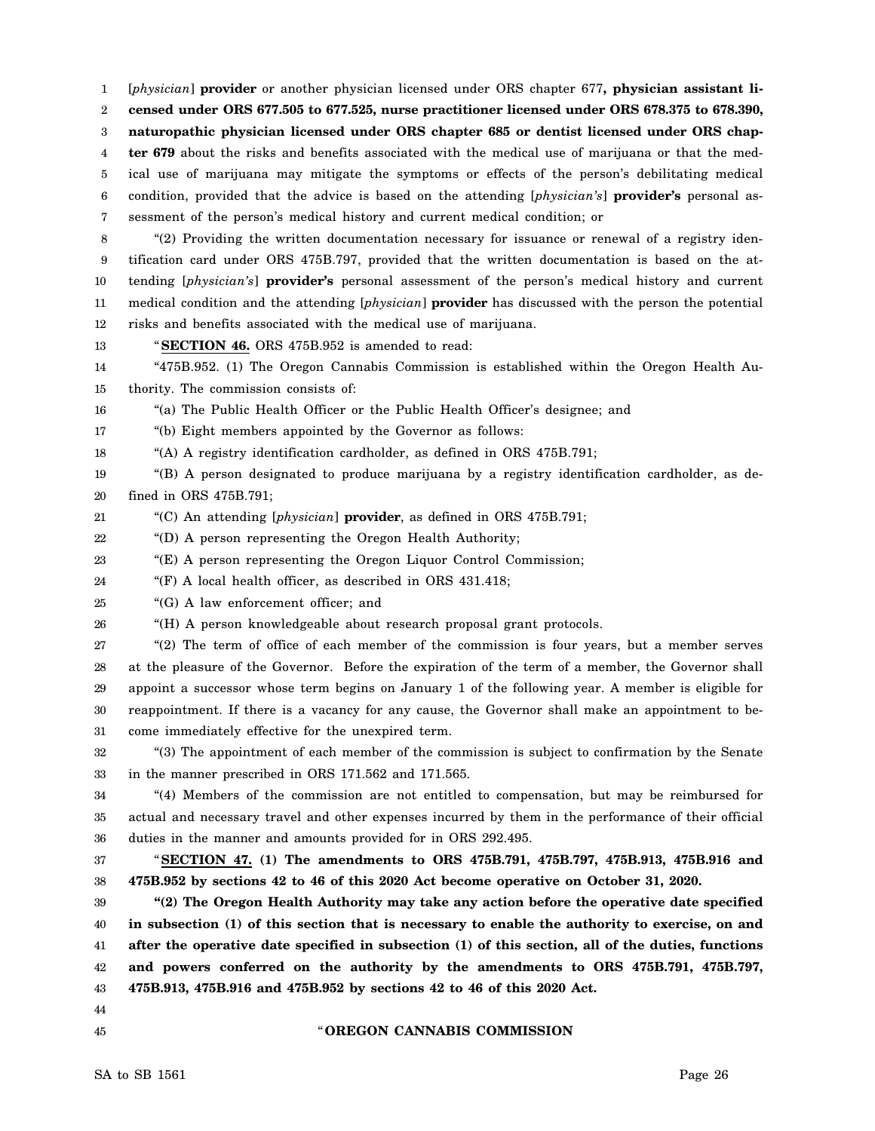1 2 3 4 5 6 7 [*physician*] **provider** or another physician licensed under ORS chapter 677**, physician assistant licensed under ORS 677.505 to 677.525, nurse practitioner licensed under ORS 678.375 to 678.390, naturopathic physician licensed under ORS chapter 685 or dentist licensed under ORS chapter 679** about the risks and benefits associated with the medical use of marijuana or that the medical use of marijuana may mitigate the symptoms or effects of the person's debilitating medical condition, provided that the advice is based on the attending [*physician's*] **provider's** personal assessment of the person's medical history and current medical condition; or

8 9 10 11 12 "(2) Providing the written documentation necessary for issuance or renewal of a registry identification card under ORS 475B.797, provided that the written documentation is based on the attending [*physician's*] **provider's** personal assessment of the person's medical history and current medical condition and the attending [*physician*] **provider** has discussed with the person the potential risks and benefits associated with the medical use of marijuana.

13

"**SECTION 46.** ORS 475B.952 is amended to read:

14 15 "475B.952. (1) The Oregon Cannabis Commission is established within the Oregon Health Authority. The commission consists of:

16 "(a) The Public Health Officer or the Public Health Officer's designee; and

17 "(b) Eight members appointed by the Governor as follows:

18 "(A) A registry identification cardholder, as defined in ORS 475B.791;

19 20 "(B) A person designated to produce marijuana by a registry identification cardholder, as defined in ORS 475B.791;

21 "(C) An attending [*physician*] **provider**, as defined in ORS 475B.791;

22 "(D) A person representing the Oregon Health Authority;

23 "(E) A person representing the Oregon Liquor Control Commission;

24 "(F) A local health officer, as described in ORS 431.418;

25 "(G) A law enforcement officer; and

26 "(H) A person knowledgeable about research proposal grant protocols.

27 28 29 30 31 "(2) The term of office of each member of the commission is four years, but a member serves at the pleasure of the Governor. Before the expiration of the term of a member, the Governor shall appoint a successor whose term begins on January 1 of the following year. A member is eligible for reappointment. If there is a vacancy for any cause, the Governor shall make an appointment to become immediately effective for the unexpired term.

32 33 "(3) The appointment of each member of the commission is subject to confirmation by the Senate in the manner prescribed in ORS 171.562 and 171.565.

34 35 36 "(4) Members of the commission are not entitled to compensation, but may be reimbursed for actual and necessary travel and other expenses incurred by them in the performance of their official duties in the manner and amounts provided for in ORS 292.495.

37 38 "**SECTION 47. (1) The amendments to ORS 475B.791, 475B.797, 475B.913, 475B.916 and 475B.952 by sections 42 to 46 of this 2020 Act become operative on October 31, 2020.**

39 40 41 42 43 **"(2) The Oregon Health Authority may take any action before the operative date specified in subsection (1) of this section that is necessary to enable the authority to exercise, on and after the operative date specified in subsection (1) of this section, all of the duties, functions and powers conferred on the authority by the amendments to ORS 475B.791, 475B.797, 475B.913, 475B.916 and 475B.952 by sections 42 to 46 of this 2020 Act.**

44 45

" **OREGON CANNABIS COMMISSION**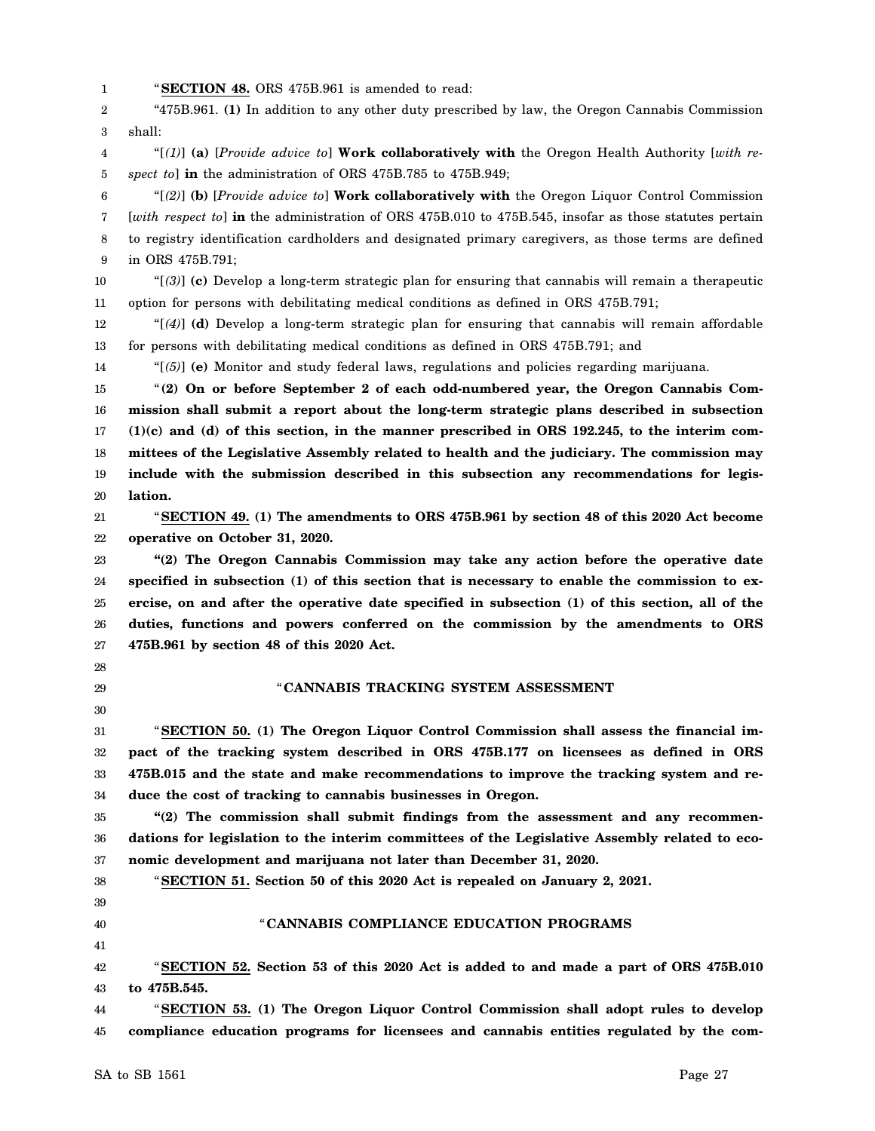1 "**SECTION 48.** ORS 475B.961 is amended to read:

2 3 "475B.961. **(1)** In addition to any other duty prescribed by law, the Oregon Cannabis Commission shall:

4 5 "[*(1)*] **(a)** [*Provide advice to*] **Work collaboratively with** the Oregon Health Authority [*with respect to*] **in** the administration of ORS 475B.785 to 475B.949;

6 7 8 9 "[*(2)*] **(b)** [*Provide advice to*] **Work collaboratively with** the Oregon Liquor Control Commission [*with respect to*] **in** the administration of ORS 475B.010 to 475B.545, insofar as those statutes pertain to registry identification cardholders and designated primary caregivers, as those terms are defined in ORS 475B.791;

10 11 "[*(3)*] **(c)** Develop a long-term strategic plan for ensuring that cannabis will remain a therapeutic option for persons with debilitating medical conditions as defined in ORS 475B.791;

12 13 "[*(4)*] **(d)** Develop a long-term strategic plan for ensuring that cannabis will remain affordable for persons with debilitating medical conditions as defined in ORS 475B.791; and

14 "[*(5)*] **(e)** Monitor and study federal laws, regulations and policies regarding marijuana.

15 16 17 18 19 20 "**(2) On or before September 2 of each odd-numbered year, the Oregon Cannabis Commission shall submit a report about the long-term strategic plans described in subsection (1)(c) and (d) of this section, in the manner prescribed in ORS 192.245, to the interim committees of the Legislative Assembly related to health and the judiciary. The commission may include with the submission described in this subsection any recommendations for legislation.**

21 22 "**SECTION 49. (1) The amendments to ORS 475B.961 by section 48 of this 2020 Act become operative on October 31, 2020.**

23 24 25 26 27 **"(2) The Oregon Cannabis Commission may take any action before the operative date specified in subsection (1) of this section that is necessary to enable the commission to exercise, on and after the operative date specified in subsection (1) of this section, all of the duties, functions and powers conferred on the commission by the amendments to ORS 475B.961 by section 48 of this 2020 Act.**

- 28
- 29

### "**CANNABIS TRACKING SYSTEM ASSESSMENT**

30

31 32 33 34 "**SECTION 50. (1) The Oregon Liquor Control Commission shall assess the financial impact of the tracking system described in ORS 475B.177 on licensees as defined in ORS 475B.015 and the state and make recommendations to improve the tracking system and reduce the cost of tracking to cannabis businesses in Oregon.**

35 36 37 **"(2) The commission shall submit findings from the assessment and any recommendations for legislation to the interim committees of the Legislative Assembly related to economic development and marijuana not later than December 31, 2020.**

"**SECTION 51. Section 50 of this 2020 Act is repealed on January 2, 2021.**

- 38 39
- 40

# "**CANNABIS COMPLIANCE EDUCATION PROGRAMS**

41

42 43 "**SECTION 52. Section 53 of this 2020 Act is added to and made a part of ORS 475B.010 to 475B.545.**

44 45 "**SECTION 53. (1) The Oregon Liquor Control Commission shall adopt rules to develop compliance education programs for licensees and cannabis entities regulated by the com-**